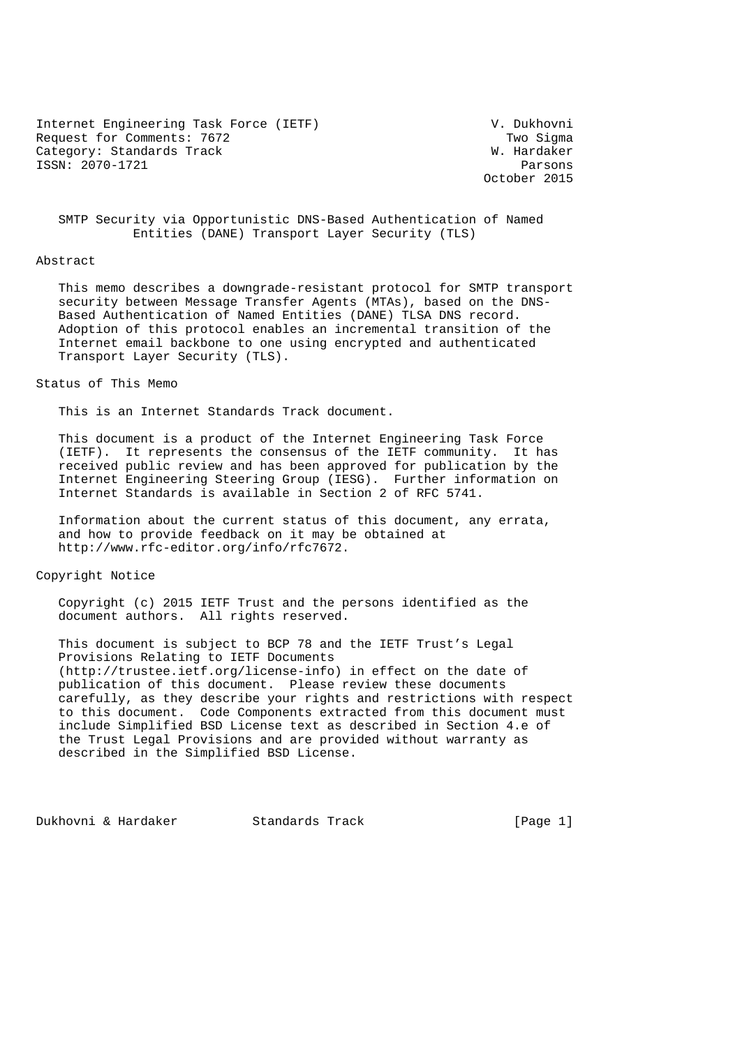Internet Engineering Task Force (IETF) V. Dukhovni Request for Comments: 7672 Two Sigma Category: Standards Track W. Hardaker ISSN: 2070-1721 Parsons

October 2015

 SMTP Security via Opportunistic DNS-Based Authentication of Named Entities (DANE) Transport Layer Security (TLS)

#### Abstract

 This memo describes a downgrade-resistant protocol for SMTP transport security between Message Transfer Agents (MTAs), based on the DNS- Based Authentication of Named Entities (DANE) TLSA DNS record. Adoption of this protocol enables an incremental transition of the Internet email backbone to one using encrypted and authenticated Transport Layer Security (TLS).

### Status of This Memo

This is an Internet Standards Track document.

 This document is a product of the Internet Engineering Task Force (IETF). It represents the consensus of the IETF community. It has received public review and has been approved for publication by the Internet Engineering Steering Group (IESG). Further information on Internet Standards is available in Section 2 of RFC 5741.

 Information about the current status of this document, any errata, and how to provide feedback on it may be obtained at http://www.rfc-editor.org/info/rfc7672.

## Copyright Notice

 Copyright (c) 2015 IETF Trust and the persons identified as the document authors. All rights reserved.

 This document is subject to BCP 78 and the IETF Trust's Legal Provisions Relating to IETF Documents (http://trustee.ietf.org/license-info) in effect on the date of publication of this document. Please review these documents carefully, as they describe your rights and restrictions with respect to this document. Code Components extracted from this document must include Simplified BSD License text as described in Section 4.e of the Trust Legal Provisions and are provided without warranty as described in the Simplified BSD License.

Dukhovni & Hardaker Standards Track [Page 1]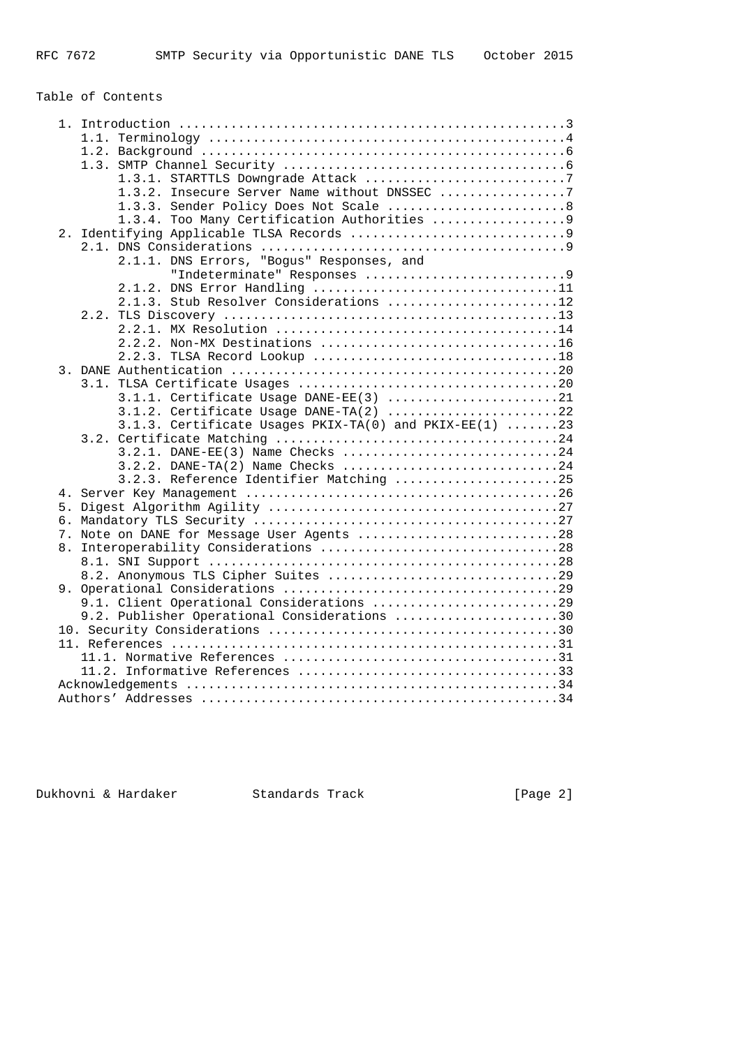# Table of Contents

| 1.3.2. Insecure Server Name without DNSSEC 7           |
|--------------------------------------------------------|
| 1.3.3. Sender Policy Does Not Scale 8                  |
|                                                        |
|                                                        |
|                                                        |
| 2.1.1. DNS Errors, "Bogus" Responses, and              |
| "Indeterminate" Responses 9                            |
| 2.1.2. DNS Error Handling 11                           |
| 2.1.3. Stub Resolver Considerations 12                 |
|                                                        |
|                                                        |
|                                                        |
|                                                        |
|                                                        |
|                                                        |
|                                                        |
|                                                        |
| 3.1.2. Certificate Usage DANE-TA(2) 22                 |
| 3.1.3. Certificate Usages PKIX-TA(0) and PKIX-EE(1) 23 |
|                                                        |
| 3.2.1. DANE-EE(3) Name Checks 24                       |
| 3.2.2. DANE-TA(2) Name Checks 24                       |
| 3.2.3. Reference Identifier Matching 25                |
|                                                        |
|                                                        |
|                                                        |
| 7. Note on DANE for Message User Agents 28             |
|                                                        |
|                                                        |
|                                                        |
|                                                        |
| 9.1. Client Operational Considerations 29              |
| 9.2. Publisher Operational Considerations 30           |
|                                                        |
|                                                        |
|                                                        |
|                                                        |
|                                                        |
|                                                        |
|                                                        |

Dukhovni & Hardaker Standards Track [Page 2]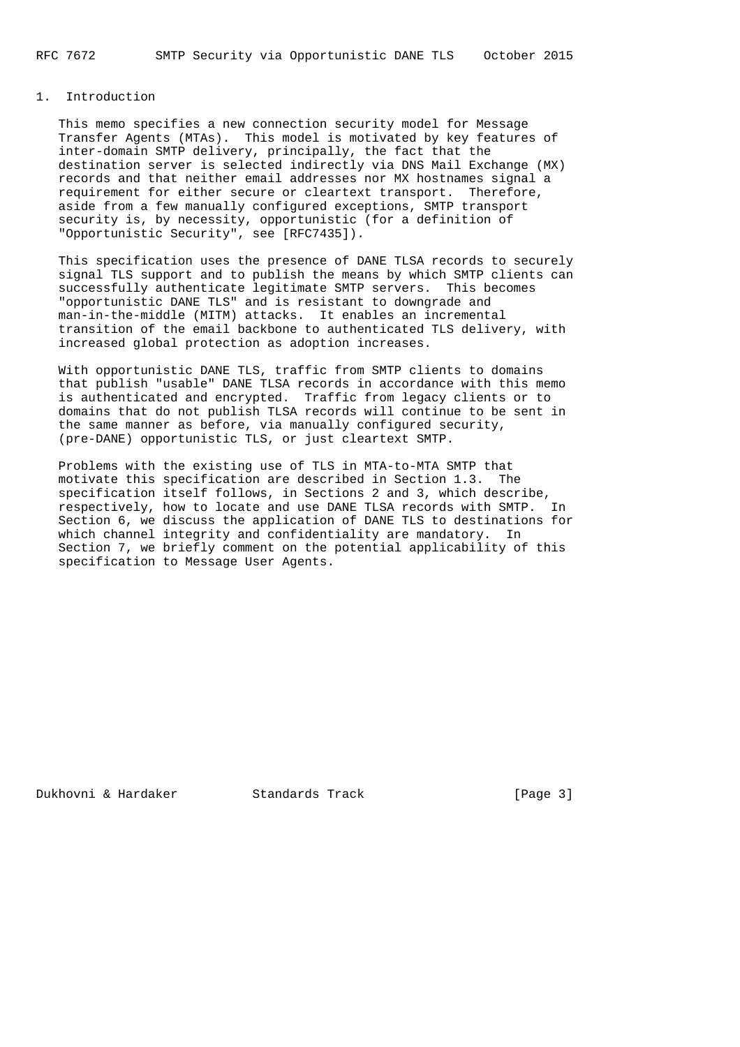# 1. Introduction

 This memo specifies a new connection security model for Message Transfer Agents (MTAs). This model is motivated by key features of inter-domain SMTP delivery, principally, the fact that the destination server is selected indirectly via DNS Mail Exchange (MX) records and that neither email addresses nor MX hostnames signal a requirement for either secure or cleartext transport. Therefore, aside from a few manually configured exceptions, SMTP transport security is, by necessity, opportunistic (for a definition of "Opportunistic Security", see [RFC7435]).

 This specification uses the presence of DANE TLSA records to securely signal TLS support and to publish the means by which SMTP clients can successfully authenticate legitimate SMTP servers. This becomes "opportunistic DANE TLS" and is resistant to downgrade and man-in-the-middle (MITM) attacks. It enables an incremental transition of the email backbone to authenticated TLS delivery, with increased global protection as adoption increases.

 With opportunistic DANE TLS, traffic from SMTP clients to domains that publish "usable" DANE TLSA records in accordance with this memo is authenticated and encrypted. Traffic from legacy clients or to domains that do not publish TLSA records will continue to be sent in the same manner as before, via manually configured security, (pre-DANE) opportunistic TLS, or just cleartext SMTP.

 Problems with the existing use of TLS in MTA-to-MTA SMTP that motivate this specification are described in Section 1.3. The specification itself follows, in Sections 2 and 3, which describe, respectively, how to locate and use DANE TLSA records with SMTP. In Section 6, we discuss the application of DANE TLS to destinations for which channel integrity and confidentiality are mandatory. In Section 7, we briefly comment on the potential applicability of this specification to Message User Agents.

Dukhovni & Hardaker Standards Track [Page 3]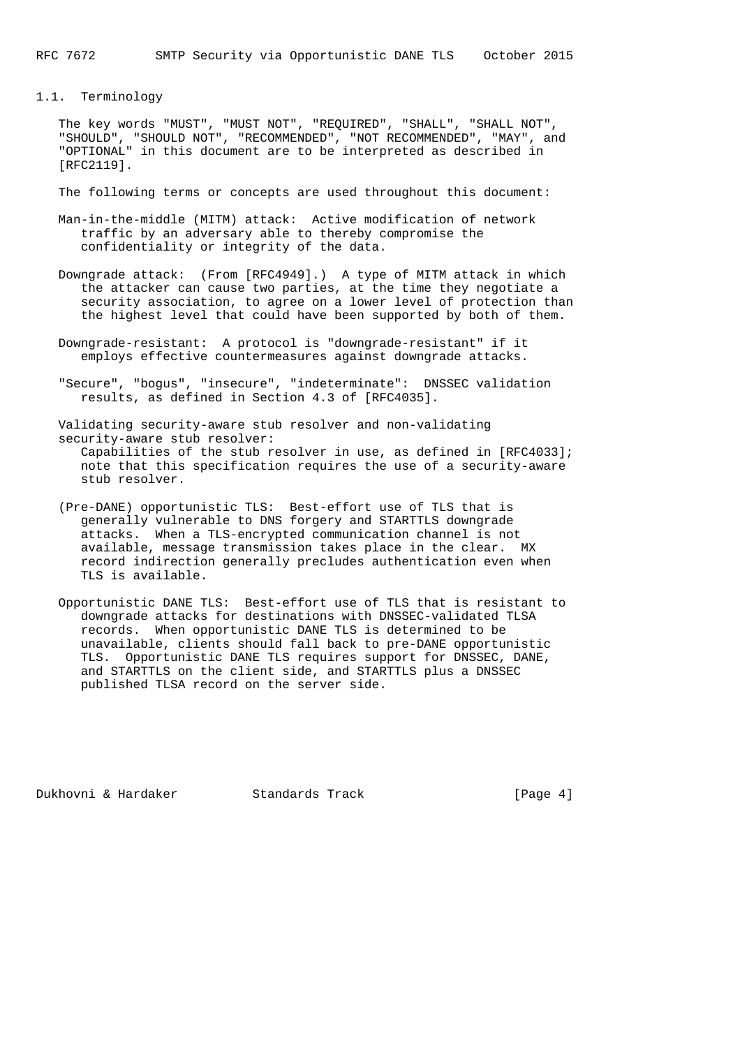# 1.1. Terminology

 The key words "MUST", "MUST NOT", "REQUIRED", "SHALL", "SHALL NOT", "SHOULD", "SHOULD NOT", "RECOMMENDED", "NOT RECOMMENDED", "MAY", and "OPTIONAL" in this document are to be interpreted as described in [RFC2119].

The following terms or concepts are used throughout this document:

- Man-in-the-middle (MITM) attack: Active modification of network traffic by an adversary able to thereby compromise the confidentiality or integrity of the data.
- Downgrade attack: (From [RFC4949].) A type of MITM attack in which the attacker can cause two parties, at the time they negotiate a security association, to agree on a lower level of protection than the highest level that could have been supported by both of them.
- Downgrade-resistant: A protocol is "downgrade-resistant" if it employs effective countermeasures against downgrade attacks.
- "Secure", "bogus", "insecure", "indeterminate": DNSSEC validation results, as defined in Section 4.3 of [RFC4035].

 Validating security-aware stub resolver and non-validating security-aware stub resolver: Capabilities of the stub resolver in use, as defined in [RFC4033]; note that this specification requires the use of a security-aware stub resolver.

- (Pre-DANE) opportunistic TLS: Best-effort use of TLS that is generally vulnerable to DNS forgery and STARTTLS downgrade attacks. When a TLS-encrypted communication channel is not available, message transmission takes place in the clear. MX record indirection generally precludes authentication even when TLS is available.
- Opportunistic DANE TLS: Best-effort use of TLS that is resistant to downgrade attacks for destinations with DNSSEC-validated TLSA records. When opportunistic DANE TLS is determined to be unavailable, clients should fall back to pre-DANE opportunistic TLS. Opportunistic DANE TLS requires support for DNSSEC, DANE, and STARTTLS on the client side, and STARTTLS plus a DNSSEC published TLSA record on the server side.

Dukhovni & Hardaker Standards Track [Page 4]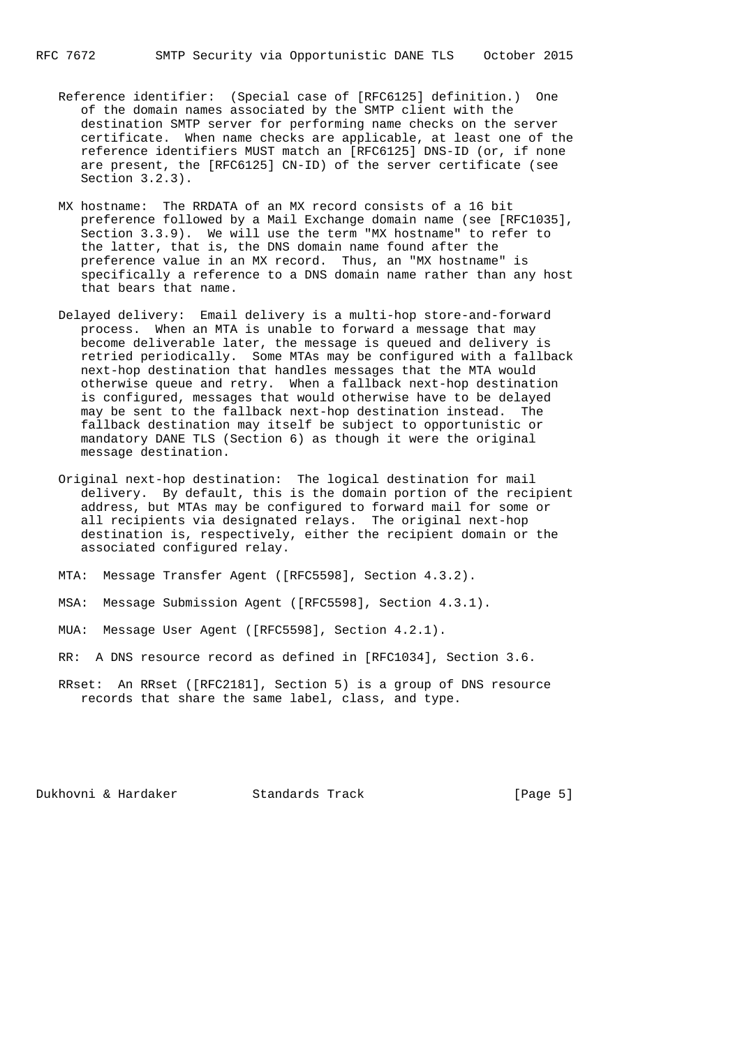- Reference identifier: (Special case of [RFC6125] definition.) One of the domain names associated by the SMTP client with the destination SMTP server for performing name checks on the server certificate. When name checks are applicable, at least one of the reference identifiers MUST match an [RFC6125] DNS-ID (or, if none are present, the [RFC6125] CN-ID) of the server certificate (see Section 3.2.3).
- MX hostname: The RRDATA of an MX record consists of a 16 bit preference followed by a Mail Exchange domain name (see [RFC1035], Section 3.3.9). We will use the term "MX hostname" to refer to the latter, that is, the DNS domain name found after the preference value in an MX record. Thus, an "MX hostname" is specifically a reference to a DNS domain name rather than any host that bears that name.
- Delayed delivery: Email delivery is a multi-hop store-and-forward process. When an MTA is unable to forward a message that may become deliverable later, the message is queued and delivery is retried periodically. Some MTAs may be configured with a fallback next-hop destination that handles messages that the MTA would otherwise queue and retry. When a fallback next-hop destination is configured, messages that would otherwise have to be delayed may be sent to the fallback next-hop destination instead. The fallback destination may itself be subject to opportunistic or mandatory DANE TLS (Section 6) as though it were the original message destination.
- Original next-hop destination: The logical destination for mail delivery. By default, this is the domain portion of the recipient address, but MTAs may be configured to forward mail for some or all recipients via designated relays. The original next-hop destination is, respectively, either the recipient domain or the associated configured relay.
- MTA: Message Transfer Agent ([RFC5598], Section 4.3.2).
- MSA: Message Submission Agent ([RFC5598], Section 4.3.1).
- MUA: Message User Agent ([RFC5598], Section 4.2.1).
- RR: A DNS resource record as defined in [RFC1034], Section 3.6.
- RRset: An RRset ([RFC2181], Section 5) is a group of DNS resource records that share the same label, class, and type.

Dukhovni & Hardaker Standards Track [Page 5]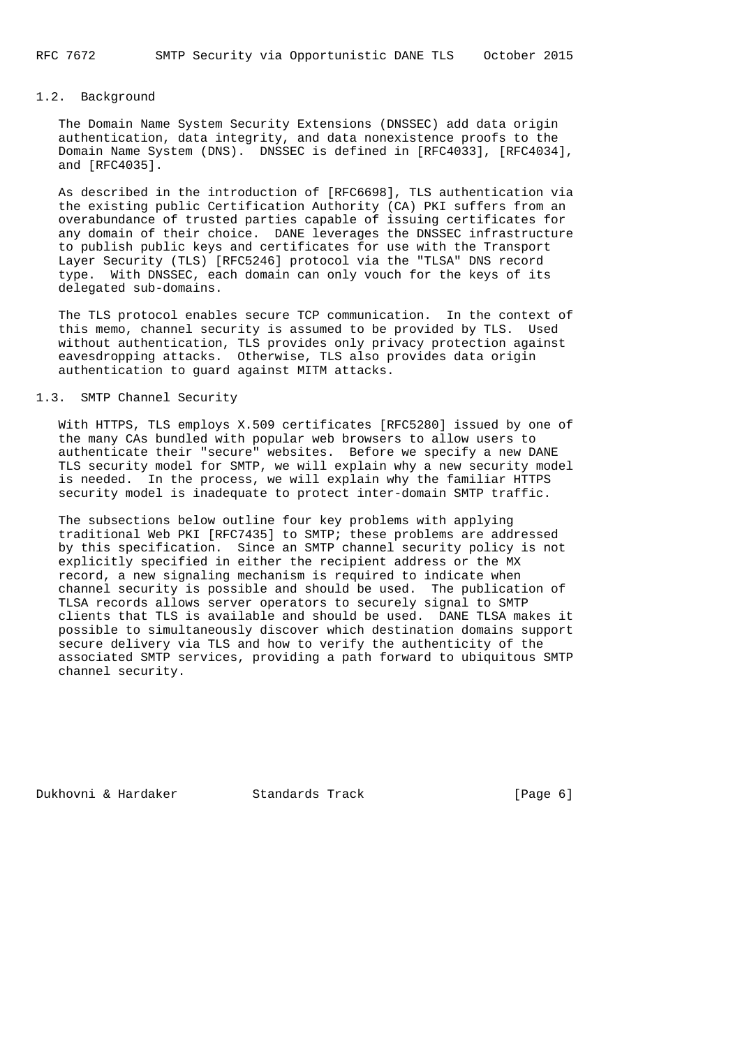# 1.2. Background

 The Domain Name System Security Extensions (DNSSEC) add data origin authentication, data integrity, and data nonexistence proofs to the Domain Name System (DNS). DNSSEC is defined in [RFC4033], [RFC4034], and [RFC4035].

 As described in the introduction of [RFC6698], TLS authentication via the existing public Certification Authority (CA) PKI suffers from an overabundance of trusted parties capable of issuing certificates for any domain of their choice. DANE leverages the DNSSEC infrastructure to publish public keys and certificates for use with the Transport Layer Security (TLS) [RFC5246] protocol via the "TLSA" DNS record type. With DNSSEC, each domain can only vouch for the keys of its delegated sub-domains.

 The TLS protocol enables secure TCP communication. In the context of this memo, channel security is assumed to be provided by TLS. Used without authentication, TLS provides only privacy protection against eavesdropping attacks. Otherwise, TLS also provides data origin authentication to guard against MITM attacks.

# 1.3. SMTP Channel Security

 With HTTPS, TLS employs X.509 certificates [RFC5280] issued by one of the many CAs bundled with popular web browsers to allow users to authenticate their "secure" websites. Before we specify a new DANE TLS security model for SMTP, we will explain why a new security model is needed. In the process, we will explain why the familiar HTTPS security model is inadequate to protect inter-domain SMTP traffic.

 The subsections below outline four key problems with applying traditional Web PKI [RFC7435] to SMTP; these problems are addressed by this specification. Since an SMTP channel security policy is not explicitly specified in either the recipient address or the MX record, a new signaling mechanism is required to indicate when channel security is possible and should be used. The publication of TLSA records allows server operators to securely signal to SMTP clients that TLS is available and should be used. DANE TLSA makes it possible to simultaneously discover which destination domains support secure delivery via TLS and how to verify the authenticity of the associated SMTP services, providing a path forward to ubiquitous SMTP channel security.

Dukhovni & Hardaker Standards Track [Page 6]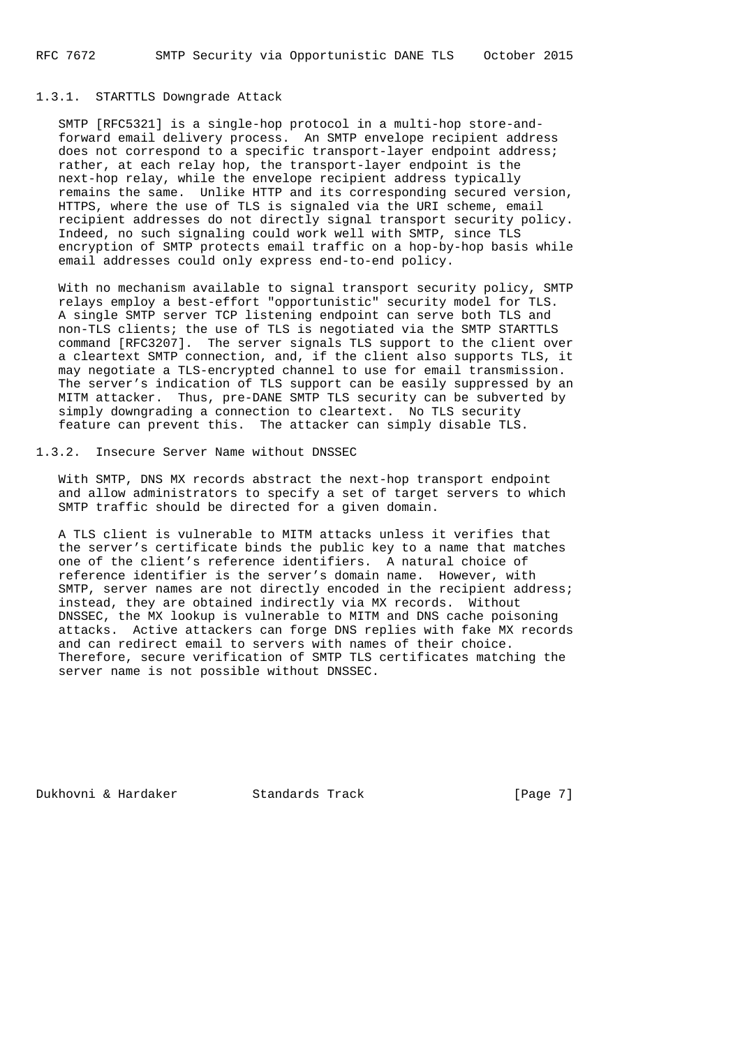# 1.3.1. STARTTLS Downgrade Attack

 SMTP [RFC5321] is a single-hop protocol in a multi-hop store-and forward email delivery process. An SMTP envelope recipient address does not correspond to a specific transport-layer endpoint address; rather, at each relay hop, the transport-layer endpoint is the next-hop relay, while the envelope recipient address typically remains the same. Unlike HTTP and its corresponding secured version, HTTPS, where the use of TLS is signaled via the URI scheme, email recipient addresses do not directly signal transport security policy. Indeed, no such signaling could work well with SMTP, since TLS encryption of SMTP protects email traffic on a hop-by-hop basis while email addresses could only express end-to-end policy.

 With no mechanism available to signal transport security policy, SMTP relays employ a best-effort "opportunistic" security model for TLS. A single SMTP server TCP listening endpoint can serve both TLS and non-TLS clients; the use of TLS is negotiated via the SMTP STARTTLS command [RFC3207]. The server signals TLS support to the client over a cleartext SMTP connection, and, if the client also supports TLS, it may negotiate a TLS-encrypted channel to use for email transmission. The server's indication of TLS support can be easily suppressed by an MITM attacker. Thus, pre-DANE SMTP TLS security can be subverted by simply downgrading a connection to cleartext. No TLS security feature can prevent this. The attacker can simply disable TLS.

1.3.2. Insecure Server Name without DNSSEC

 With SMTP, DNS MX records abstract the next-hop transport endpoint and allow administrators to specify a set of target servers to which SMTP traffic should be directed for a given domain.

 A TLS client is vulnerable to MITM attacks unless it verifies that the server's certificate binds the public key to a name that matches one of the client's reference identifiers. A natural choice of reference identifier is the server's domain name. However, with SMTP, server names are not directly encoded in the recipient address; instead, they are obtained indirectly via MX records. Without DNSSEC, the MX lookup is vulnerable to MITM and DNS cache poisoning attacks. Active attackers can forge DNS replies with fake MX records and can redirect email to servers with names of their choice. Therefore, secure verification of SMTP TLS certificates matching the server name is not possible without DNSSEC.

Dukhovni & Hardaker Standards Track [Page 7]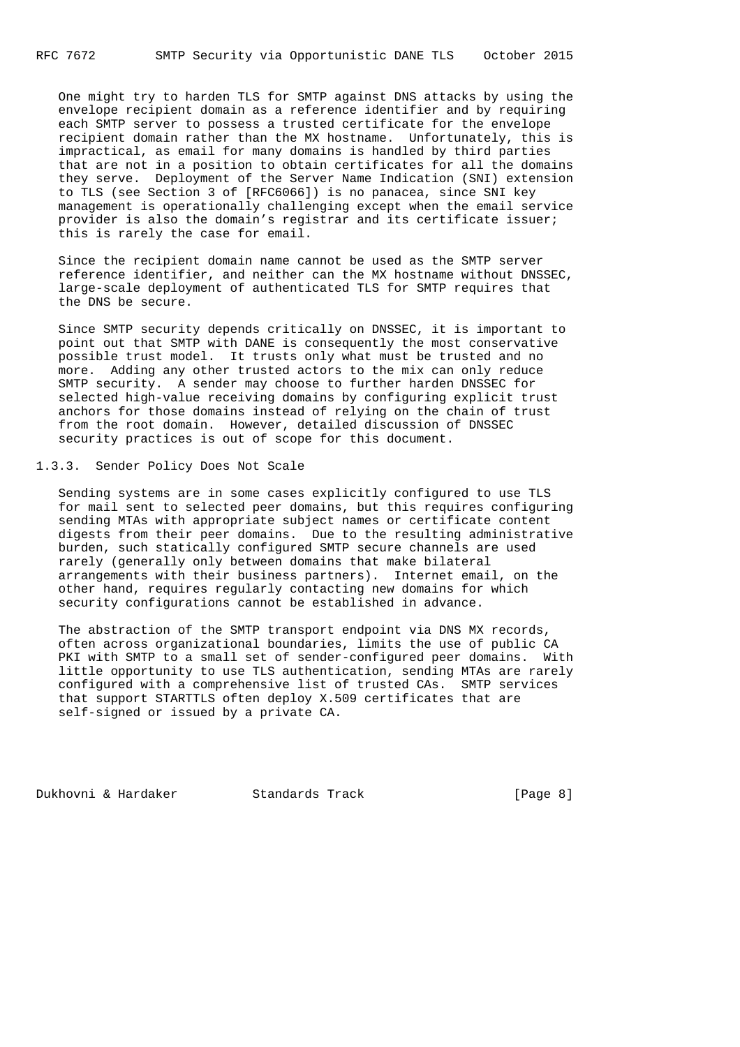One might try to harden TLS for SMTP against DNS attacks by using the envelope recipient domain as a reference identifier and by requiring each SMTP server to possess a trusted certificate for the envelope recipient domain rather than the MX hostname. Unfortunately, this is impractical, as email for many domains is handled by third parties that are not in a position to obtain certificates for all the domains they serve. Deployment of the Server Name Indication (SNI) extension to TLS (see Section 3 of [RFC6066]) is no panacea, since SNI key management is operationally challenging except when the email service provider is also the domain's registrar and its certificate issuer; this is rarely the case for email.

 Since the recipient domain name cannot be used as the SMTP server reference identifier, and neither can the MX hostname without DNSSEC, large-scale deployment of authenticated TLS for SMTP requires that the DNS be secure.

 Since SMTP security depends critically on DNSSEC, it is important to point out that SMTP with DANE is consequently the most conservative possible trust model. It trusts only what must be trusted and no more. Adding any other trusted actors to the mix can only reduce SMTP security. A sender may choose to further harden DNSSEC for selected high-value receiving domains by configuring explicit trust anchors for those domains instead of relying on the chain of trust from the root domain. However, detailed discussion of DNSSEC security practices is out of scope for this document.

1.3.3. Sender Policy Does Not Scale

 Sending systems are in some cases explicitly configured to use TLS for mail sent to selected peer domains, but this requires configuring sending MTAs with appropriate subject names or certificate content digests from their peer domains. Due to the resulting administrative burden, such statically configured SMTP secure channels are used rarely (generally only between domains that make bilateral arrangements with their business partners). Internet email, on the other hand, requires regularly contacting new domains for which security configurations cannot be established in advance.

 The abstraction of the SMTP transport endpoint via DNS MX records, often across organizational boundaries, limits the use of public CA PKI with SMTP to a small set of sender-configured peer domains. With little opportunity to use TLS authentication, sending MTAs are rarely configured with a comprehensive list of trusted CAs. SMTP services that support STARTTLS often deploy X.509 certificates that are self-signed or issued by a private CA.

Dukhovni & Hardaker Standards Track [Page 8]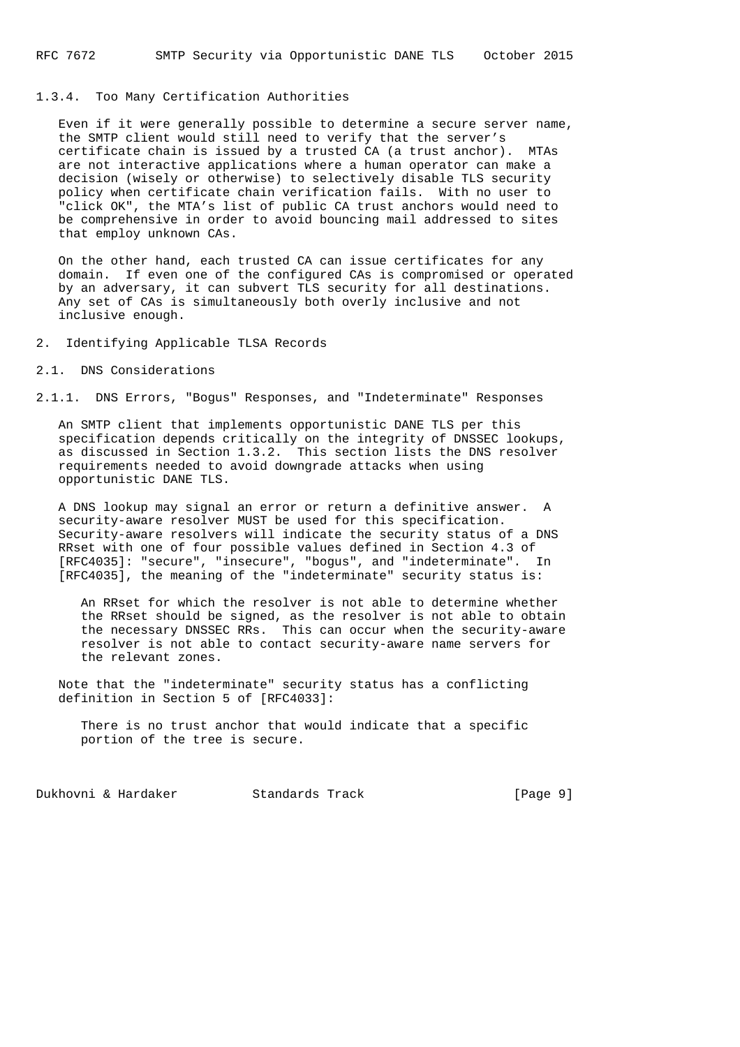# 1.3.4. Too Many Certification Authorities

 Even if it were generally possible to determine a secure server name, the SMTP client would still need to verify that the server's certificate chain is issued by a trusted CA (a trust anchor). MTAs are not interactive applications where a human operator can make a decision (wisely or otherwise) to selectively disable TLS security policy when certificate chain verification fails. With no user to "click OK", the MTA's list of public CA trust anchors would need to be comprehensive in order to avoid bouncing mail addressed to sites that employ unknown CAs.

 On the other hand, each trusted CA can issue certificates for any domain. If even one of the configured CAs is compromised or operated by an adversary, it can subvert TLS security for all destinations. Any set of CAs is simultaneously both overly inclusive and not inclusive enough.

2. Identifying Applicable TLSA Records

### 2.1. DNS Considerations

2.1.1. DNS Errors, "Bogus" Responses, and "Indeterminate" Responses

 An SMTP client that implements opportunistic DANE TLS per this specification depends critically on the integrity of DNSSEC lookups, as discussed in Section 1.3.2. This section lists the DNS resolver requirements needed to avoid downgrade attacks when using opportunistic DANE TLS.

 A DNS lookup may signal an error or return a definitive answer. A security-aware resolver MUST be used for this specification. Security-aware resolvers will indicate the security status of a DNS RRset with one of four possible values defined in Section 4.3 of [RFC4035]: "secure", "insecure", "bogus", and "indeterminate". In [RFC4035], the meaning of the "indeterminate" security status is:

 An RRset for which the resolver is not able to determine whether the RRset should be signed, as the resolver is not able to obtain the necessary DNSSEC RRs. This can occur when the security-aware resolver is not able to contact security-aware name servers for the relevant zones.

 Note that the "indeterminate" security status has a conflicting definition in Section 5 of [RFC4033]:

 There is no trust anchor that would indicate that a specific portion of the tree is secure.

Dukhovni & Hardaker Standards Track [Page 9]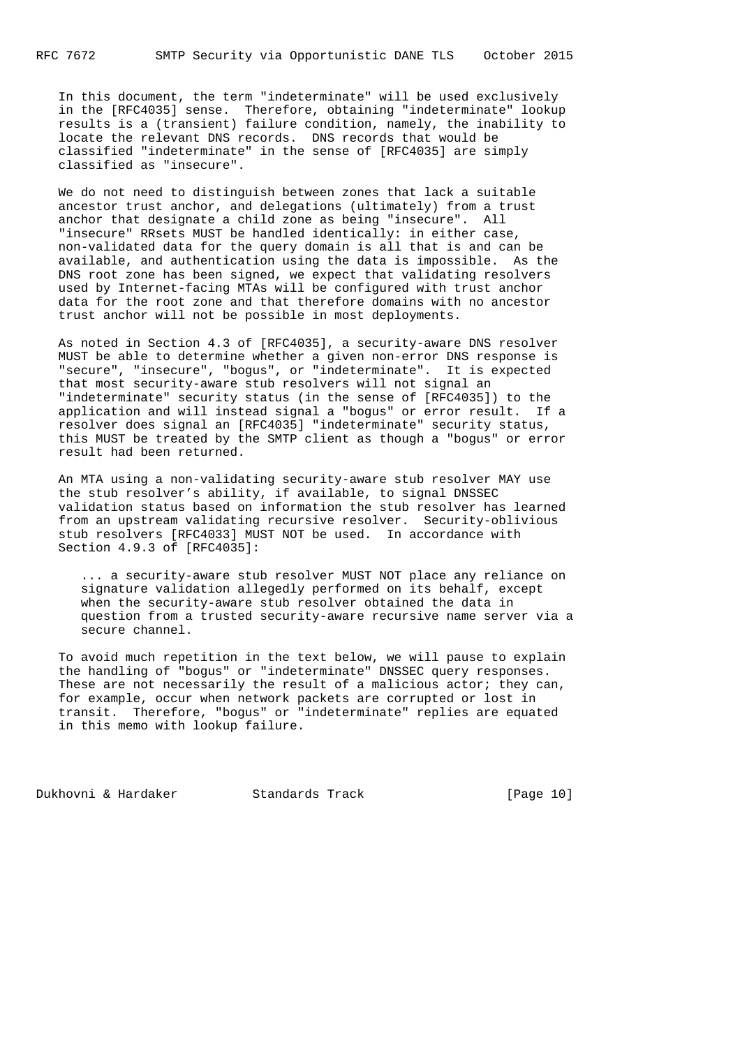In this document, the term "indeterminate" will be used exclusively in the [RFC4035] sense. Therefore, obtaining "indeterminate" lookup results is a (transient) failure condition, namely, the inability to locate the relevant DNS records. DNS records that would be classified "indeterminate" in the sense of [RFC4035] are simply classified as "insecure".

 We do not need to distinguish between zones that lack a suitable ancestor trust anchor, and delegations (ultimately) from a trust anchor that designate a child zone as being "insecure". All "insecure" RRsets MUST be handled identically: in either case, non-validated data for the query domain is all that is and can be available, and authentication using the data is impossible. As the DNS root zone has been signed, we expect that validating resolvers used by Internet-facing MTAs will be configured with trust anchor data for the root zone and that therefore domains with no ancestor trust anchor will not be possible in most deployments.

 As noted in Section 4.3 of [RFC4035], a security-aware DNS resolver MUST be able to determine whether a given non-error DNS response is "secure", "insecure", "bogus", or "indeterminate". It is expected that most security-aware stub resolvers will not signal an "indeterminate" security status (in the sense of [RFC4035]) to the application and will instead signal a "bogus" or error result. If a resolver does signal an [RFC4035] "indeterminate" security status, this MUST be treated by the SMTP client as though a "bogus" or error result had been returned.

 An MTA using a non-validating security-aware stub resolver MAY use the stub resolver's ability, if available, to signal DNSSEC validation status based on information the stub resolver has learned from an upstream validating recursive resolver. Security-oblivious stub resolvers [RFC4033] MUST NOT be used. In accordance with Section 4.9.3 of [RFC4035]:

 ... a security-aware stub resolver MUST NOT place any reliance on signature validation allegedly performed on its behalf, except when the security-aware stub resolver obtained the data in question from a trusted security-aware recursive name server via a secure channel.

 To avoid much repetition in the text below, we will pause to explain the handling of "bogus" or "indeterminate" DNSSEC query responses. These are not necessarily the result of a malicious actor; they can, for example, occur when network packets are corrupted or lost in transit. Therefore, "bogus" or "indeterminate" replies are equated in this memo with lookup failure.

Dukhovni & Hardaker Standards Track [Page 10]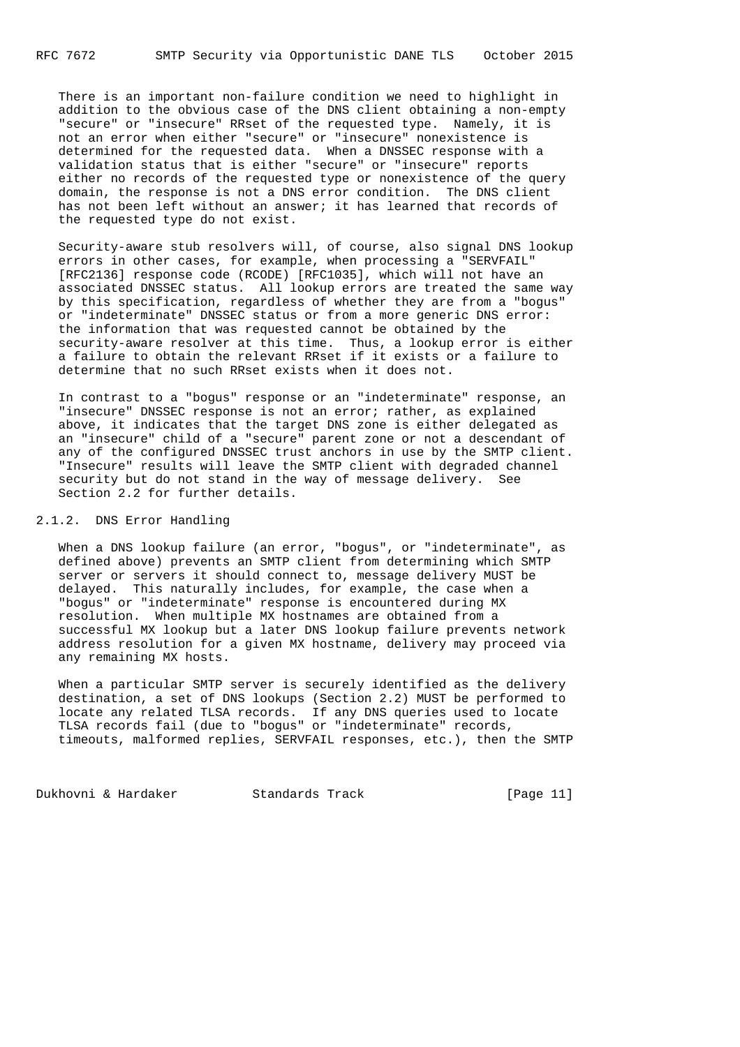There is an important non-failure condition we need to highlight in addition to the obvious case of the DNS client obtaining a non-empty "secure" or "insecure" RRset of the requested type. Namely, it is not an error when either "secure" or "insecure" nonexistence is determined for the requested data. When a DNSSEC response with a validation status that is either "secure" or "insecure" reports either no records of the requested type or nonexistence of the query domain, the response is not a DNS error condition. The DNS client has not been left without an answer; it has learned that records of the requested type do not exist.

 Security-aware stub resolvers will, of course, also signal DNS lookup errors in other cases, for example, when processing a "SERVFAIL" [RFC2136] response code (RCODE) [RFC1035], which will not have an associated DNSSEC status. All lookup errors are treated the same way by this specification, regardless of whether they are from a "bogus" or "indeterminate" DNSSEC status or from a more generic DNS error: the information that was requested cannot be obtained by the security-aware resolver at this time. Thus, a lookup error is either a failure to obtain the relevant RRset if it exists or a failure to determine that no such RRset exists when it does not.

 In contrast to a "bogus" response or an "indeterminate" response, an "insecure" DNSSEC response is not an error; rather, as explained above, it indicates that the target DNS zone is either delegated as an "insecure" child of a "secure" parent zone or not a descendant of any of the configured DNSSEC trust anchors in use by the SMTP client. "Insecure" results will leave the SMTP client with degraded channel security but do not stand in the way of message delivery. See Section 2.2 for further details.

# 2.1.2. DNS Error Handling

 When a DNS lookup failure (an error, "bogus", or "indeterminate", as defined above) prevents an SMTP client from determining which SMTP server or servers it should connect to, message delivery MUST be delayed. This naturally includes, for example, the case when a "bogus" or "indeterminate" response is encountered during MX resolution. When multiple MX hostnames are obtained from a successful MX lookup but a later DNS lookup failure prevents network address resolution for a given MX hostname, delivery may proceed via any remaining MX hosts.

 When a particular SMTP server is securely identified as the delivery destination, a set of DNS lookups (Section 2.2) MUST be performed to locate any related TLSA records. If any DNS queries used to locate TLSA records fail (due to "bogus" or "indeterminate" records, timeouts, malformed replies, SERVFAIL responses, etc.), then the SMTP

Dukhovni & Hardaker Standards Track [Page 11]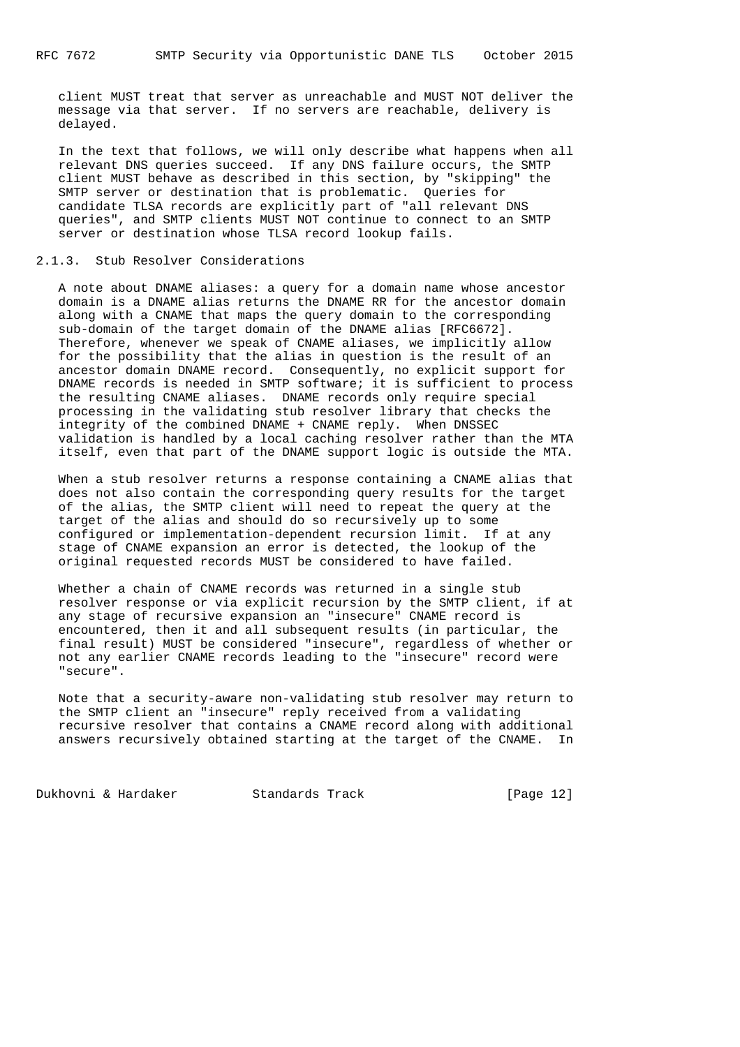client MUST treat that server as unreachable and MUST NOT deliver the message via that server. If no servers are reachable, delivery is delayed.

 In the text that follows, we will only describe what happens when all relevant DNS queries succeed. If any DNS failure occurs, the SMTP client MUST behave as described in this section, by "skipping" the SMTP server or destination that is problematic. Queries for candidate TLSA records are explicitly part of "all relevant DNS queries", and SMTP clients MUST NOT continue to connect to an SMTP server or destination whose TLSA record lookup fails.

#### 2.1.3. Stub Resolver Considerations

 A note about DNAME aliases: a query for a domain name whose ancestor domain is a DNAME alias returns the DNAME RR for the ancestor domain along with a CNAME that maps the query domain to the corresponding sub-domain of the target domain of the DNAME alias [RFC6672]. Therefore, whenever we speak of CNAME aliases, we implicitly allow for the possibility that the alias in question is the result of an ancestor domain DNAME record. Consequently, no explicit support for DNAME records is needed in SMTP software; it is sufficient to process the resulting CNAME aliases. DNAME records only require special processing in the validating stub resolver library that checks the integrity of the combined DNAME + CNAME reply. When DNSSEC validation is handled by a local caching resolver rather than the MTA itself, even that part of the DNAME support logic is outside the MTA.

 When a stub resolver returns a response containing a CNAME alias that does not also contain the corresponding query results for the target of the alias, the SMTP client will need to repeat the query at the target of the alias and should do so recursively up to some configured or implementation-dependent recursion limit. If at any stage of CNAME expansion an error is detected, the lookup of the original requested records MUST be considered to have failed.

 Whether a chain of CNAME records was returned in a single stub resolver response or via explicit recursion by the SMTP client, if at any stage of recursive expansion an "insecure" CNAME record is encountered, then it and all subsequent results (in particular, the final result) MUST be considered "insecure", regardless of whether or not any earlier CNAME records leading to the "insecure" record were "secure".

 Note that a security-aware non-validating stub resolver may return to the SMTP client an "insecure" reply received from a validating recursive resolver that contains a CNAME record along with additional answers recursively obtained starting at the target of the CNAME. In

Dukhovni & Hardaker Standards Track [Page 12]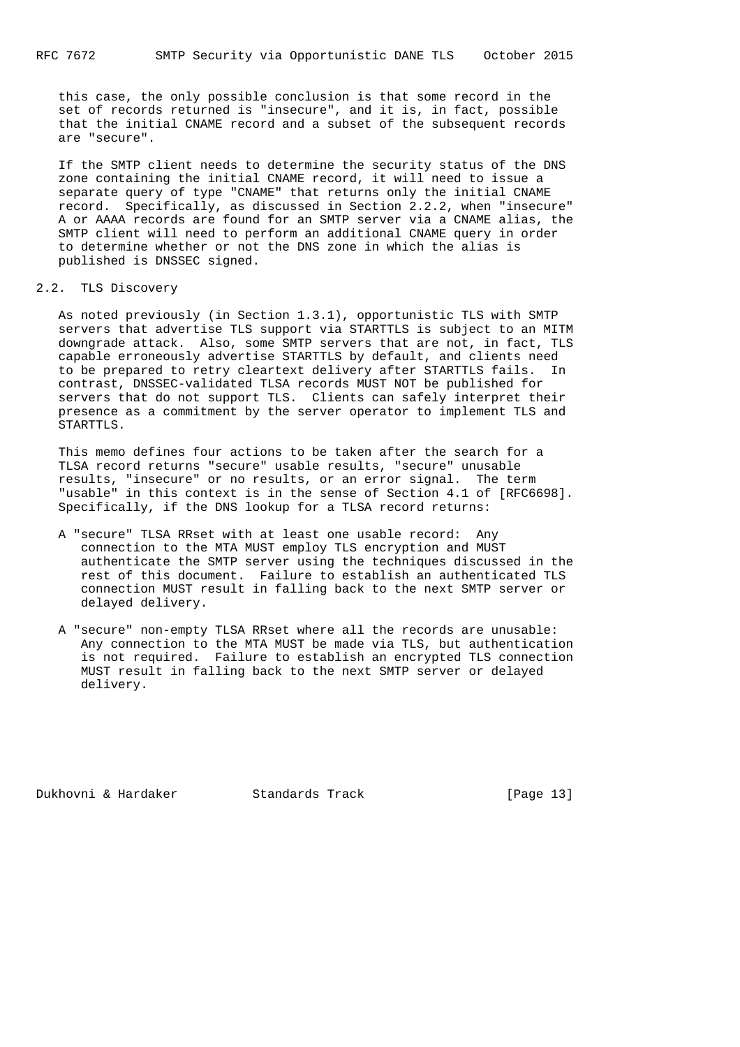this case, the only possible conclusion is that some record in the set of records returned is "insecure", and it is, in fact, possible that the initial CNAME record and a subset of the subsequent records are "secure".

 If the SMTP client needs to determine the security status of the DNS zone containing the initial CNAME record, it will need to issue a separate query of type "CNAME" that returns only the initial CNAME record. Specifically, as discussed in Section 2.2.2, when "insecure" A or AAAA records are found for an SMTP server via a CNAME alias, the SMTP client will need to perform an additional CNAME query in order to determine whether or not the DNS zone in which the alias is published is DNSSEC signed.

# 2.2. TLS Discovery

 As noted previously (in Section 1.3.1), opportunistic TLS with SMTP servers that advertise TLS support via STARTTLS is subject to an MITM downgrade attack. Also, some SMTP servers that are not, in fact, TLS capable erroneously advertise STARTTLS by default, and clients need to be prepared to retry cleartext delivery after STARTTLS fails. In contrast, DNSSEC-validated TLSA records MUST NOT be published for servers that do not support TLS. Clients can safely interpret their presence as a commitment by the server operator to implement TLS and STARTTLS.

 This memo defines four actions to be taken after the search for a TLSA record returns "secure" usable results, "secure" unusable results, "insecure" or no results, or an error signal. The term "usable" in this context is in the sense of Section 4.1 of [RFC6698]. Specifically, if the DNS lookup for a TLSA record returns:

- A "secure" TLSA RRset with at least one usable record: Any connection to the MTA MUST employ TLS encryption and MUST authenticate the SMTP server using the techniques discussed in the rest of this document. Failure to establish an authenticated TLS connection MUST result in falling back to the next SMTP server or delayed delivery.
- A "secure" non-empty TLSA RRset where all the records are unusable: Any connection to the MTA MUST be made via TLS, but authentication is not required. Failure to establish an encrypted TLS connection MUST result in falling back to the next SMTP server or delayed delivery.

Dukhovni & Hardaker Standards Track [Page 13]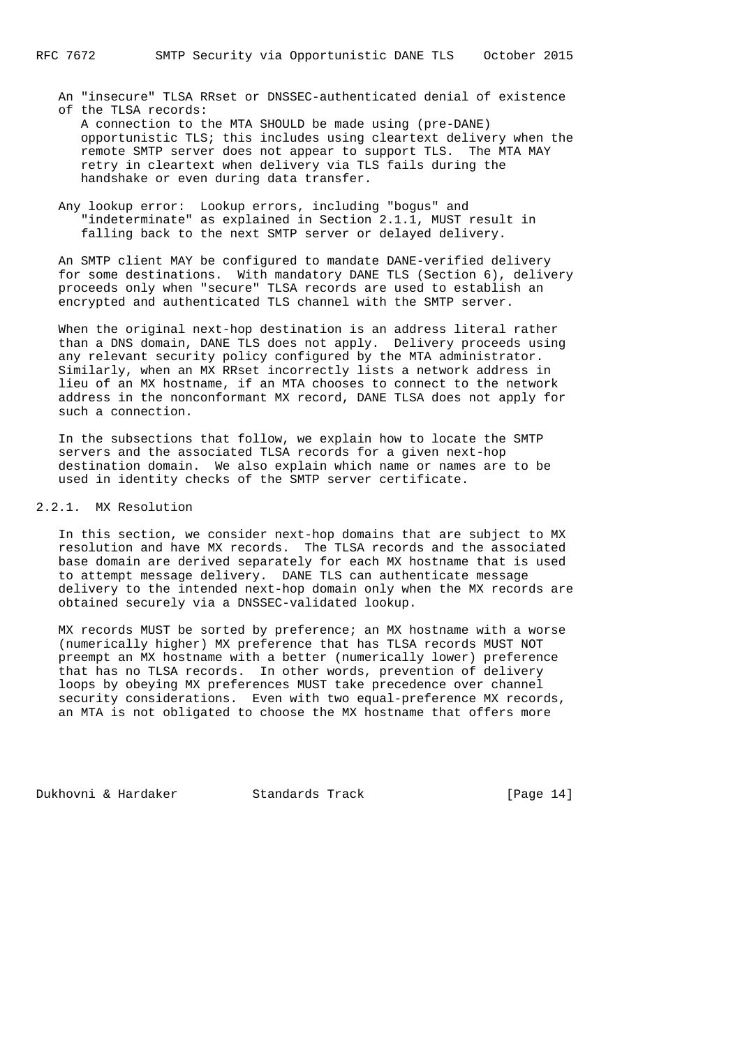- A connection to the MTA SHOULD be made using (pre-DANE) opportunistic TLS; this includes using cleartext delivery when the remote SMTP server does not appear to support TLS. The MTA MAY retry in cleartext when delivery via TLS fails during the handshake or even during data transfer.
- Any lookup error: Lookup errors, including "bogus" and "indeterminate" as explained in Section 2.1.1, MUST result in falling back to the next SMTP server or delayed delivery.

 An SMTP client MAY be configured to mandate DANE-verified delivery for some destinations. With mandatory DANE TLS (Section 6), delivery proceeds only when "secure" TLSA records are used to establish an encrypted and authenticated TLS channel with the SMTP server.

 When the original next-hop destination is an address literal rather than a DNS domain, DANE TLS does not apply. Delivery proceeds using any relevant security policy configured by the MTA administrator. Similarly, when an MX RRset incorrectly lists a network address in lieu of an MX hostname, if an MTA chooses to connect to the network address in the nonconformant MX record, DANE TLSA does not apply for such a connection.

 In the subsections that follow, we explain how to locate the SMTP servers and the associated TLSA records for a given next-hop destination domain. We also explain which name or names are to be used in identity checks of the SMTP server certificate.

# 2.2.1. MX Resolution

 In this section, we consider next-hop domains that are subject to MX resolution and have MX records. The TLSA records and the associated base domain are derived separately for each MX hostname that is used to attempt message delivery. DANE TLS can authenticate message delivery to the intended next-hop domain only when the MX records are obtained securely via a DNSSEC-validated lookup.

 MX records MUST be sorted by preference; an MX hostname with a worse (numerically higher) MX preference that has TLSA records MUST NOT preempt an MX hostname with a better (numerically lower) preference that has no TLSA records. In other words, prevention of delivery loops by obeying MX preferences MUST take precedence over channel security considerations. Even with two equal-preference MX records, an MTA is not obligated to choose the MX hostname that offers more

Dukhovni & Hardaker Standards Track [Page 14]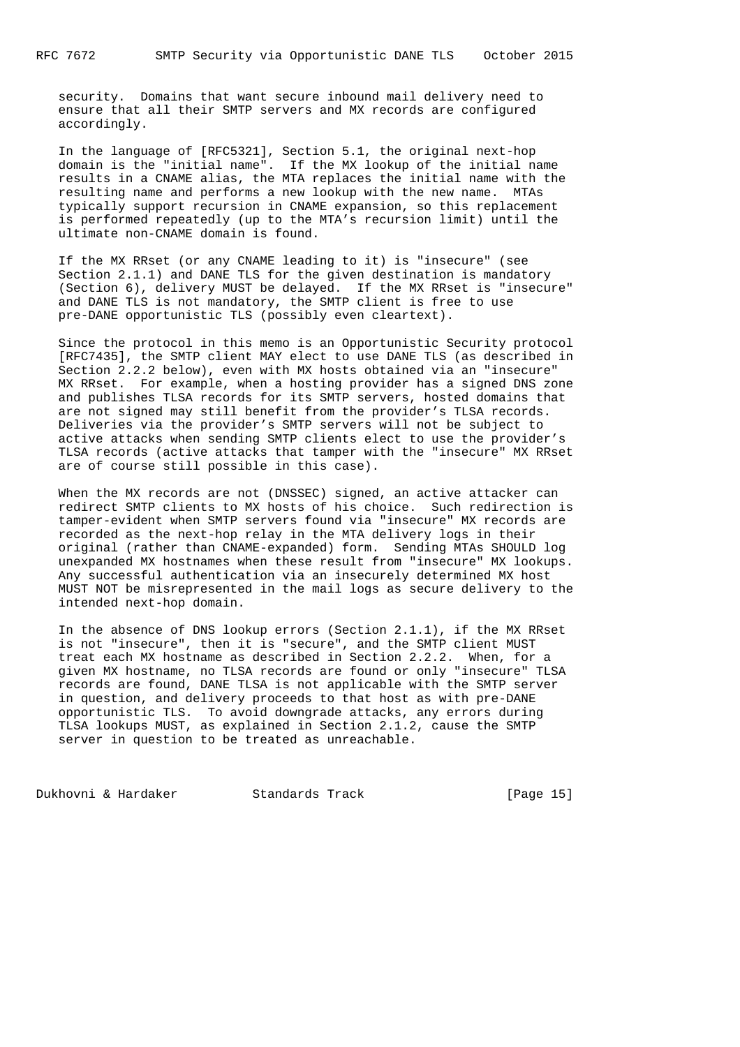security. Domains that want secure inbound mail delivery need to ensure that all their SMTP servers and MX records are configured accordingly.

 In the language of [RFC5321], Section 5.1, the original next-hop domain is the "initial name". If the MX lookup of the initial name results in a CNAME alias, the MTA replaces the initial name with the resulting name and performs a new lookup with the new name. MTAs typically support recursion in CNAME expansion, so this replacement is performed repeatedly (up to the MTA's recursion limit) until the ultimate non-CNAME domain is found.

 If the MX RRset (or any CNAME leading to it) is "insecure" (see Section 2.1.1) and DANE TLS for the given destination is mandatory (Section 6), delivery MUST be delayed. If the MX RRset is "insecure" and DANE TLS is not mandatory, the SMTP client is free to use pre-DANE opportunistic TLS (possibly even cleartext).

 Since the protocol in this memo is an Opportunistic Security protocol [RFC7435], the SMTP client MAY elect to use DANE TLS (as described in Section 2.2.2 below), even with MX hosts obtained via an "insecure" MX RRset. For example, when a hosting provider has a signed DNS zone and publishes TLSA records for its SMTP servers, hosted domains that are not signed may still benefit from the provider's TLSA records. Deliveries via the provider's SMTP servers will not be subject to active attacks when sending SMTP clients elect to use the provider's TLSA records (active attacks that tamper with the "insecure" MX RRset are of course still possible in this case).

 When the MX records are not (DNSSEC) signed, an active attacker can redirect SMTP clients to MX hosts of his choice. Such redirection is tamper-evident when SMTP servers found via "insecure" MX records are recorded as the next-hop relay in the MTA delivery logs in their original (rather than CNAME-expanded) form. Sending MTAs SHOULD log unexpanded MX hostnames when these result from "insecure" MX lookups. Any successful authentication via an insecurely determined MX host MUST NOT be misrepresented in the mail logs as secure delivery to the intended next-hop domain.

 In the absence of DNS lookup errors (Section 2.1.1), if the MX RRset is not "insecure", then it is "secure", and the SMTP client MUST treat each MX hostname as described in Section 2.2.2. When, for a given MX hostname, no TLSA records are found or only "insecure" TLSA records are found, DANE TLSA is not applicable with the SMTP server in question, and delivery proceeds to that host as with pre-DANE opportunistic TLS. To avoid downgrade attacks, any errors during TLSA lookups MUST, as explained in Section 2.1.2, cause the SMTP server in question to be treated as unreachable.

Dukhovni & Hardaker Standards Track [Page 15]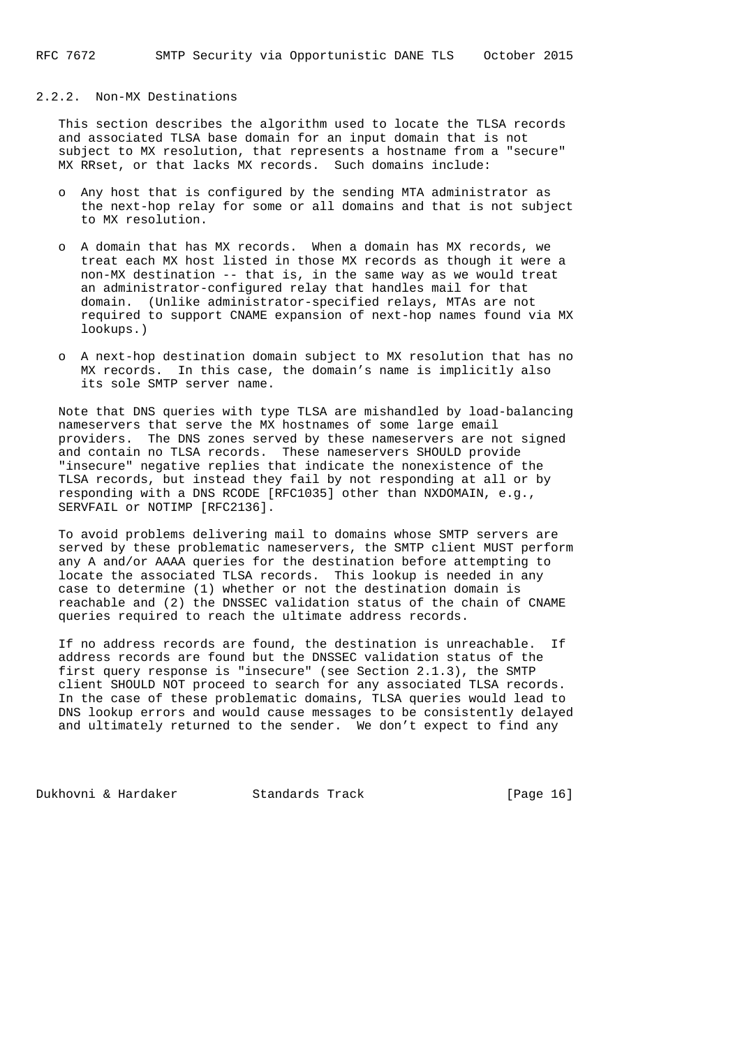# 2.2.2. Non-MX Destinations

 This section describes the algorithm used to locate the TLSA records and associated TLSA base domain for an input domain that is not subject to MX resolution, that represents a hostname from a "secure" MX RRset, or that lacks MX records. Such domains include:

- o Any host that is configured by the sending MTA administrator as the next-hop relay for some or all domains and that is not subject to MX resolution.
- o A domain that has MX records. When a domain has MX records, we treat each MX host listed in those MX records as though it were a non-MX destination -- that is, in the same way as we would treat an administrator-configured relay that handles mail for that domain. (Unlike administrator-specified relays, MTAs are not required to support CNAME expansion of next-hop names found via MX lookups.)
- o A next-hop destination domain subject to MX resolution that has no MX records. In this case, the domain's name is implicitly also its sole SMTP server name.

 Note that DNS queries with type TLSA are mishandled by load-balancing nameservers that serve the MX hostnames of some large email providers. The DNS zones served by these nameservers are not signed and contain no TLSA records. These nameservers SHOULD provide "insecure" negative replies that indicate the nonexistence of the TLSA records, but instead they fail by not responding at all or by responding with a DNS RCODE [RFC1035] other than NXDOMAIN, e.g., SERVFAIL or NOTIMP [RFC2136].

 To avoid problems delivering mail to domains whose SMTP servers are served by these problematic nameservers, the SMTP client MUST perform any A and/or AAAA queries for the destination before attempting to locate the associated TLSA records. This lookup is needed in any case to determine (1) whether or not the destination domain is reachable and (2) the DNSSEC validation status of the chain of CNAME queries required to reach the ultimate address records.

 If no address records are found, the destination is unreachable. If address records are found but the DNSSEC validation status of the first query response is "insecure" (see Section 2.1.3), the SMTP client SHOULD NOT proceed to search for any associated TLSA records. In the case of these problematic domains, TLSA queries would lead to DNS lookup errors and would cause messages to be consistently delayed and ultimately returned to the sender. We don't expect to find any

Dukhovni & Hardaker Standards Track [Page 16]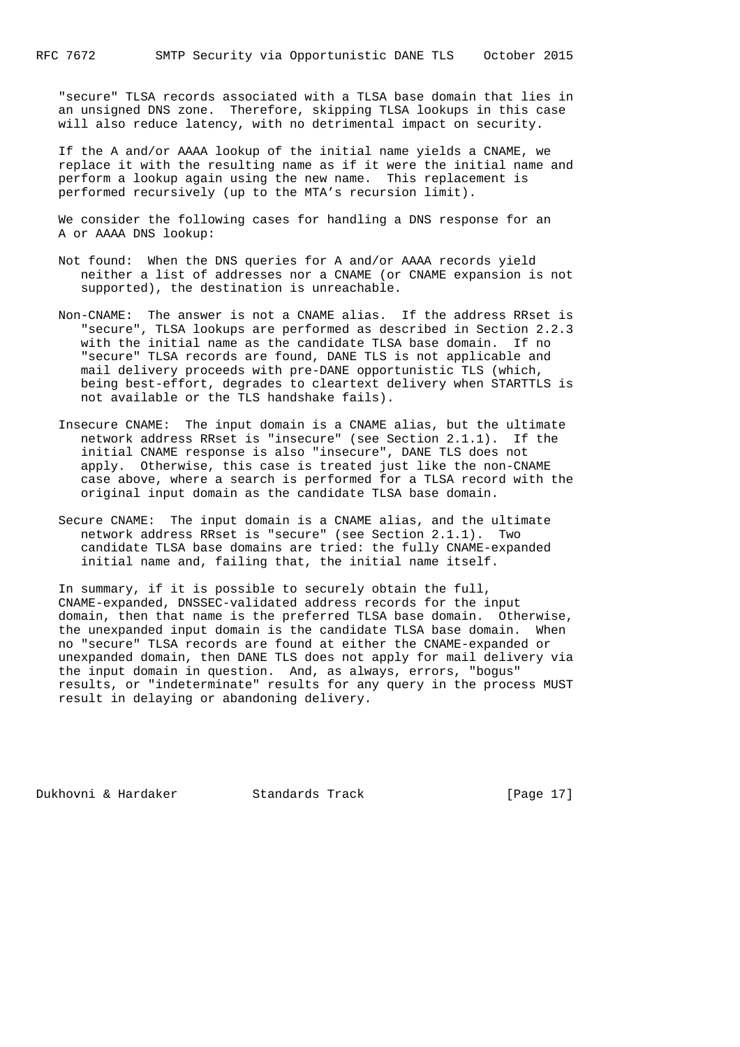"secure" TLSA records associated with a TLSA base domain that lies in an unsigned DNS zone. Therefore, skipping TLSA lookups in this case will also reduce latency, with no detrimental impact on security.

 If the A and/or AAAA lookup of the initial name yields a CNAME, we replace it with the resulting name as if it were the initial name and perform a lookup again using the new name. This replacement is performed recursively (up to the MTA's recursion limit).

 We consider the following cases for handling a DNS response for an A or AAAA DNS lookup:

- Not found: When the DNS queries for A and/or AAAA records yield neither a list of addresses nor a CNAME (or CNAME expansion is not supported), the destination is unreachable.
- Non-CNAME: The answer is not a CNAME alias. If the address RRset is "secure", TLSA lookups are performed as described in Section 2.2.3 with the initial name as the candidate TLSA base domain. If no "secure" TLSA records are found, DANE TLS is not applicable and mail delivery proceeds with pre-DANE opportunistic TLS (which, being best-effort, degrades to cleartext delivery when STARTTLS is not available or the TLS handshake fails).
- Insecure CNAME: The input domain is a CNAME alias, but the ultimate network address RRset is "insecure" (see Section 2.1.1). If the initial CNAME response is also "insecure", DANE TLS does not apply. Otherwise, this case is treated just like the non-CNAME case above, where a search is performed for a TLSA record with the original input domain as the candidate TLSA base domain.
- Secure CNAME: The input domain is a CNAME alias, and the ultimate network address RRset is "secure" (see Section 2.1.1). Two candidate TLSA base domains are tried: the fully CNAME-expanded initial name and, failing that, the initial name itself.

 In summary, if it is possible to securely obtain the full, CNAME-expanded, DNSSEC-validated address records for the input domain, then that name is the preferred TLSA base domain. Otherwise, the unexpanded input domain is the candidate TLSA base domain. When no "secure" TLSA records are found at either the CNAME-expanded or unexpanded domain, then DANE TLS does not apply for mail delivery via the input domain in question. And, as always, errors, "bogus" results, or "indeterminate" results for any query in the process MUST result in delaying or abandoning delivery.

Dukhovni & Hardaker Standards Track [Page 17]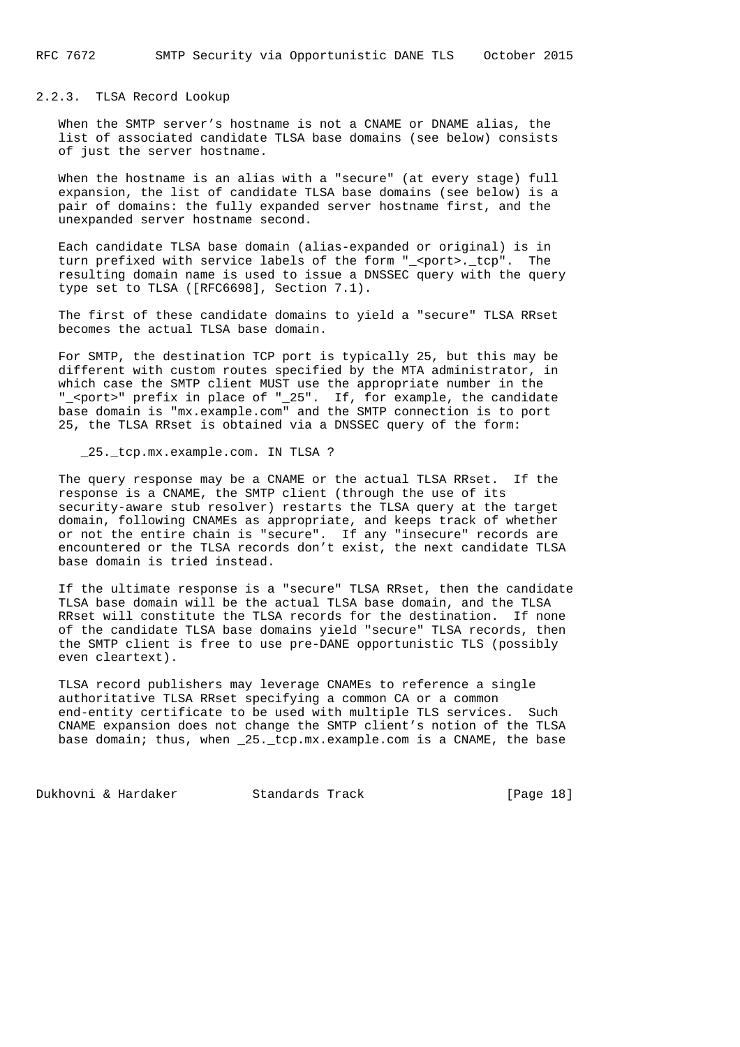2.2.3. TLSA Record Lookup

 When the SMTP server's hostname is not a CNAME or DNAME alias, the list of associated candidate TLSA base domains (see below) consists of just the server hostname.

 When the hostname is an alias with a "secure" (at every stage) full expansion, the list of candidate TLSA base domains (see below) is a pair of domains: the fully expanded server hostname first, and the unexpanded server hostname second.

 Each candidate TLSA base domain (alias-expanded or original) is in turn prefixed with service labels of the form "\_<port>.\_tcp". The resulting domain name is used to issue a DNSSEC query with the query type set to TLSA ([RFC6698], Section 7.1).

 The first of these candidate domains to yield a "secure" TLSA RRset becomes the actual TLSA base domain.

 For SMTP, the destination TCP port is typically 25, but this may be different with custom routes specified by the MTA administrator, in which case the SMTP client MUST use the appropriate number in the "\_<port>" prefix in place of "\_25". If, for example, the candidate base domain is "mx.example.com" and the SMTP connection is to port 25, the TLSA RRset is obtained via a DNSSEC query of the form:

25. tcp.mx.example.com. IN TLSA ?

 The query response may be a CNAME or the actual TLSA RRset. If the response is a CNAME, the SMTP client (through the use of its security-aware stub resolver) restarts the TLSA query at the target domain, following CNAMEs as appropriate, and keeps track of whether or not the entire chain is "secure". If any "insecure" records are encountered or the TLSA records don't exist, the next candidate TLSA base domain is tried instead.

 If the ultimate response is a "secure" TLSA RRset, then the candidate TLSA base domain will be the actual TLSA base domain, and the TLSA RRset will constitute the TLSA records for the destination. If none of the candidate TLSA base domains yield "secure" TLSA records, then the SMTP client is free to use pre-DANE opportunistic TLS (possibly even cleartext).

 TLSA record publishers may leverage CNAMEs to reference a single authoritative TLSA RRset specifying a common CA or a common end-entity certificate to be used with multiple TLS services. Such CNAME expansion does not change the SMTP client's notion of the TLSA base domain; thus, when \_25.\_tcp.mx.example.com is a CNAME, the base

Dukhovni & Hardaker Standards Track [Page 18]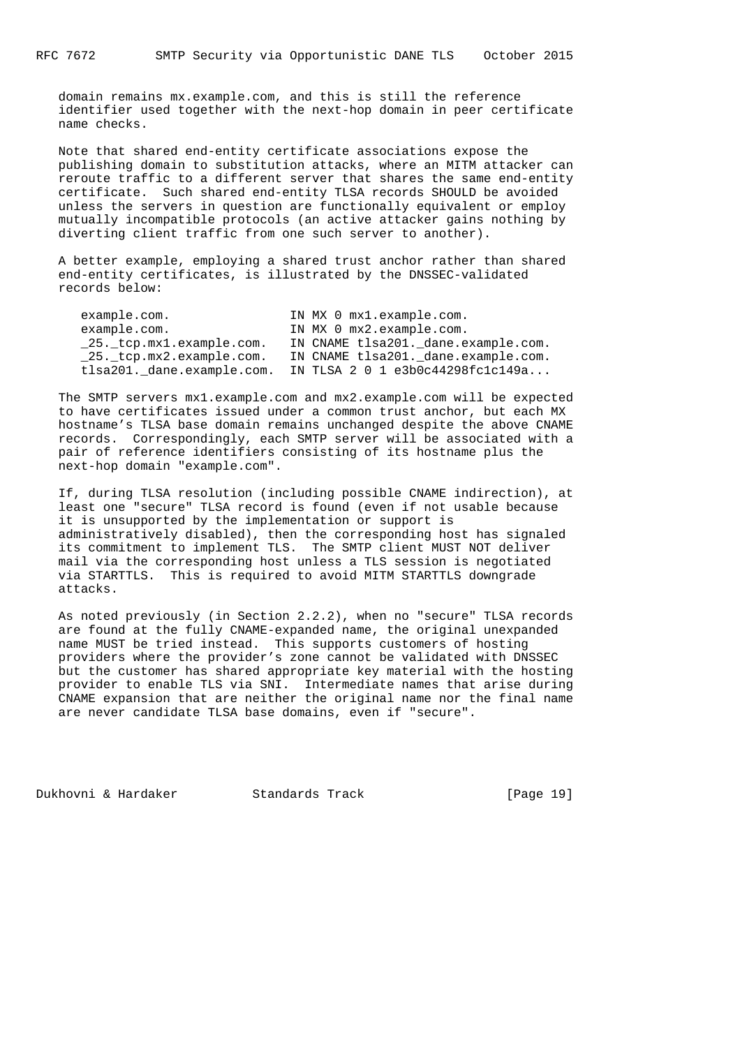domain remains mx.example.com, and this is still the reference identifier used together with the next-hop domain in peer certificate name checks.

 Note that shared end-entity certificate associations expose the publishing domain to substitution attacks, where an MITM attacker can reroute traffic to a different server that shares the same end-entity certificate. Such shared end-entity TLSA records SHOULD be avoided unless the servers in question are functionally equivalent or employ mutually incompatible protocols (an active attacker gains nothing by diverting client traffic from one such server to another).

 A better example, employing a shared trust anchor rather than shared end-entity certificates, is illustrated by the DNSSEC-validated records below:

| example.com.               | IN MX 0 mx1.example.com.            |
|----------------------------|-------------------------------------|
| example.com.               | IN MX 0 mx2.example.com.            |
| 25. tcp.mx1.example.com.   | IN CNAME tlsa201. dane.example.com. |
| 25. tcp.mx2.example.com.   | IN CNAME tlsa201. dane.example.com. |
| tlsa201._dane.example.com. | IN TLSA 2 0 1 e3b0c44298fc1c149a    |

 The SMTP servers mx1.example.com and mx2.example.com will be expected to have certificates issued under a common trust anchor, but each MX hostname's TLSA base domain remains unchanged despite the above CNAME records. Correspondingly, each SMTP server will be associated with a pair of reference identifiers consisting of its hostname plus the next-hop domain "example.com".

 If, during TLSA resolution (including possible CNAME indirection), at least one "secure" TLSA record is found (even if not usable because it is unsupported by the implementation or support is administratively disabled), then the corresponding host has signaled its commitment to implement TLS. The SMTP client MUST NOT deliver mail via the corresponding host unless a TLS session is negotiated via STARTTLS. This is required to avoid MITM STARTTLS downgrade attacks.

 As noted previously (in Section 2.2.2), when no "secure" TLSA records are found at the fully CNAME-expanded name, the original unexpanded name MUST be tried instead. This supports customers of hosting providers where the provider's zone cannot be validated with DNSSEC but the customer has shared appropriate key material with the hosting provider to enable TLS via SNI. Intermediate names that arise during CNAME expansion that are neither the original name nor the final name are never candidate TLSA base domains, even if "secure".

Dukhovni & Hardaker Standards Track [Page 19]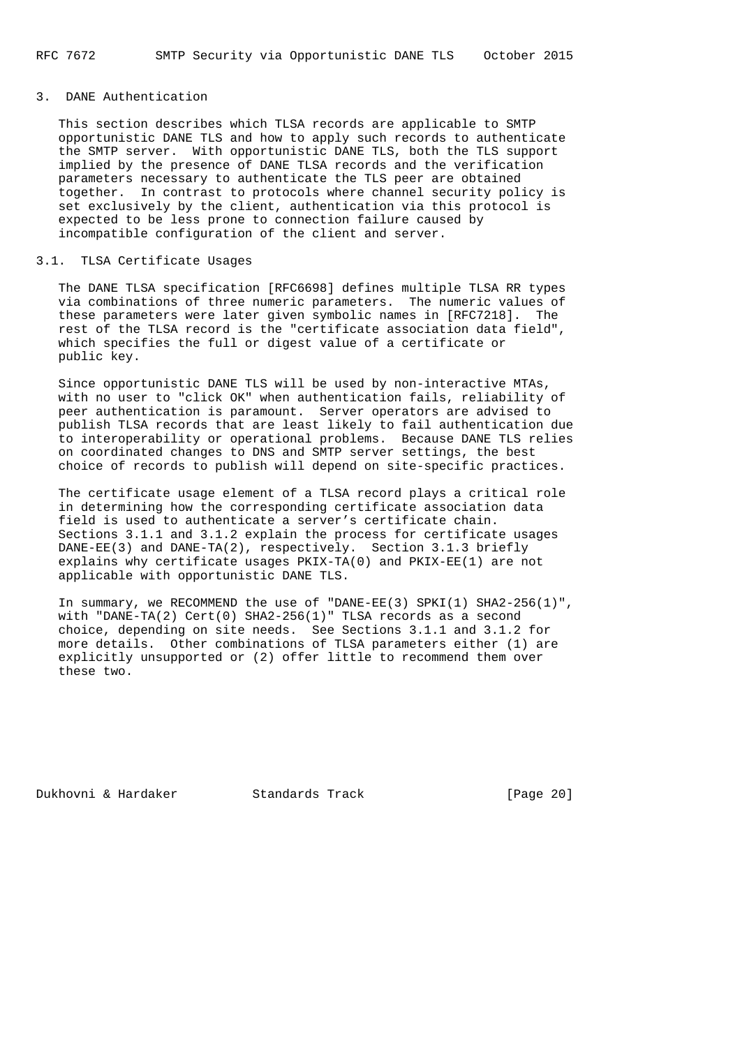### 3. DANE Authentication

 This section describes which TLSA records are applicable to SMTP opportunistic DANE TLS and how to apply such records to authenticate the SMTP server. With opportunistic DANE TLS, both the TLS support implied by the presence of DANE TLSA records and the verification parameters necessary to authenticate the TLS peer are obtained together. In contrast to protocols where channel security policy is set exclusively by the client, authentication via this protocol is expected to be less prone to connection failure caused by incompatible configuration of the client and server.

#### 3.1. TLSA Certificate Usages

 The DANE TLSA specification [RFC6698] defines multiple TLSA RR types via combinations of three numeric parameters. The numeric values of these parameters were later given symbolic names in [RFC7218]. The rest of the TLSA record is the "certificate association data field", which specifies the full or digest value of a certificate or public key.

 Since opportunistic DANE TLS will be used by non-interactive MTAs, with no user to "click OK" when authentication fails, reliability of peer authentication is paramount. Server operators are advised to publish TLSA records that are least likely to fail authentication due to interoperability or operational problems. Because DANE TLS relies on coordinated changes to DNS and SMTP server settings, the best choice of records to publish will depend on site-specific practices.

 The certificate usage element of a TLSA record plays a critical role in determining how the corresponding certificate association data field is used to authenticate a server's certificate chain. Sections 3.1.1 and 3.1.2 explain the process for certificate usages DANE-EE(3) and DANE-TA(2), respectively. Section 3.1.3 briefly explains why certificate usages PKIX-TA(0) and PKIX-EE(1) are not applicable with opportunistic DANE TLS.

In summary, we RECOMMEND the use of "DANE-EE(3) SPKI(1) SHA2-256(1)", with "DANE-TA(2) Cert(0) SHA2-256(1)" TLSA records as a second choice, depending on site needs. See Sections 3.1.1 and 3.1.2 for more details. Other combinations of TLSA parameters either (1) are explicitly unsupported or (2) offer little to recommend them over these two.

Dukhovni & Hardaker Standards Track [Page 20]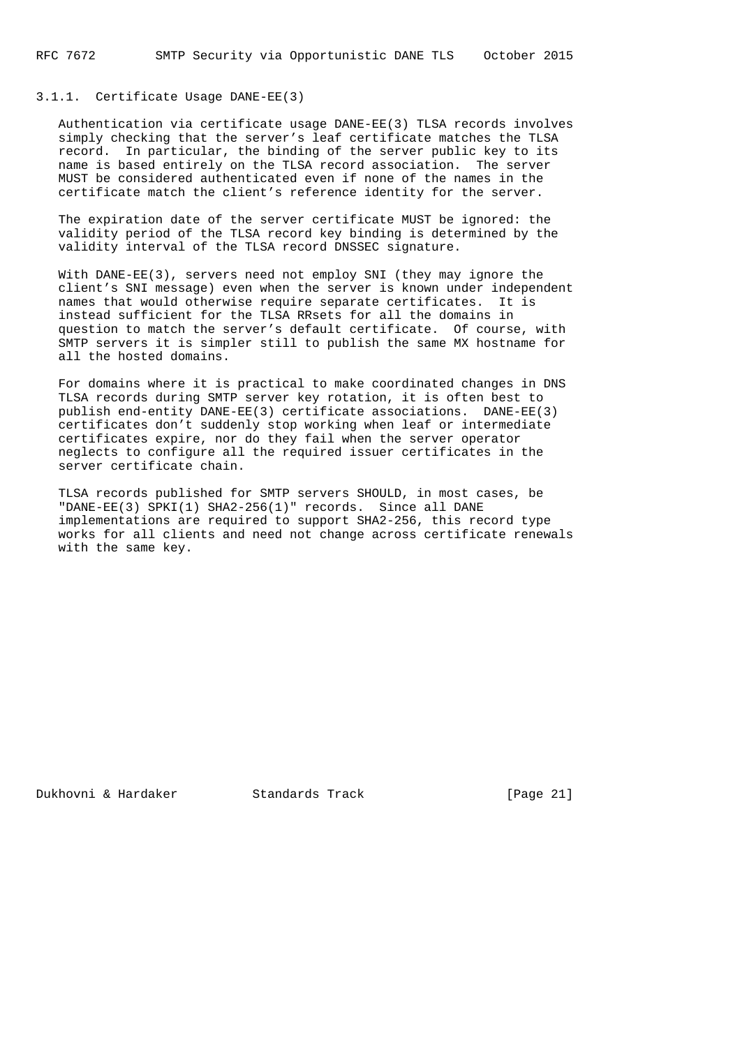## 3.1.1. Certificate Usage DANE-EE(3)

 Authentication via certificate usage DANE-EE(3) TLSA records involves simply checking that the server's leaf certificate matches the TLSA record. In particular, the binding of the server public key to its name is based entirely on the TLSA record association. The server MUST be considered authenticated even if none of the names in the certificate match the client's reference identity for the server.

 The expiration date of the server certificate MUST be ignored: the validity period of the TLSA record key binding is determined by the validity interval of the TLSA record DNSSEC signature.

 With DANE-EE(3), servers need not employ SNI (they may ignore the client's SNI message) even when the server is known under independent names that would otherwise require separate certificates. It is instead sufficient for the TLSA RRsets for all the domains in question to match the server's default certificate. Of course, with SMTP servers it is simpler still to publish the same MX hostname for all the hosted domains.

 For domains where it is practical to make coordinated changes in DNS TLSA records during SMTP server key rotation, it is often best to publish end-entity DANE-EE(3) certificate associations. DANE-EE(3) certificates don't suddenly stop working when leaf or intermediate certificates expire, nor do they fail when the server operator neglects to configure all the required issuer certificates in the server certificate chain.

 TLSA records published for SMTP servers SHOULD, in most cases, be "DANE-EE(3) SPKI(1) SHA2-256(1)" records. Since all DANE implementations are required to support SHA2-256, this record type works for all clients and need not change across certificate renewals with the same key.

Dukhovni & Hardaker Standards Track [Page 21]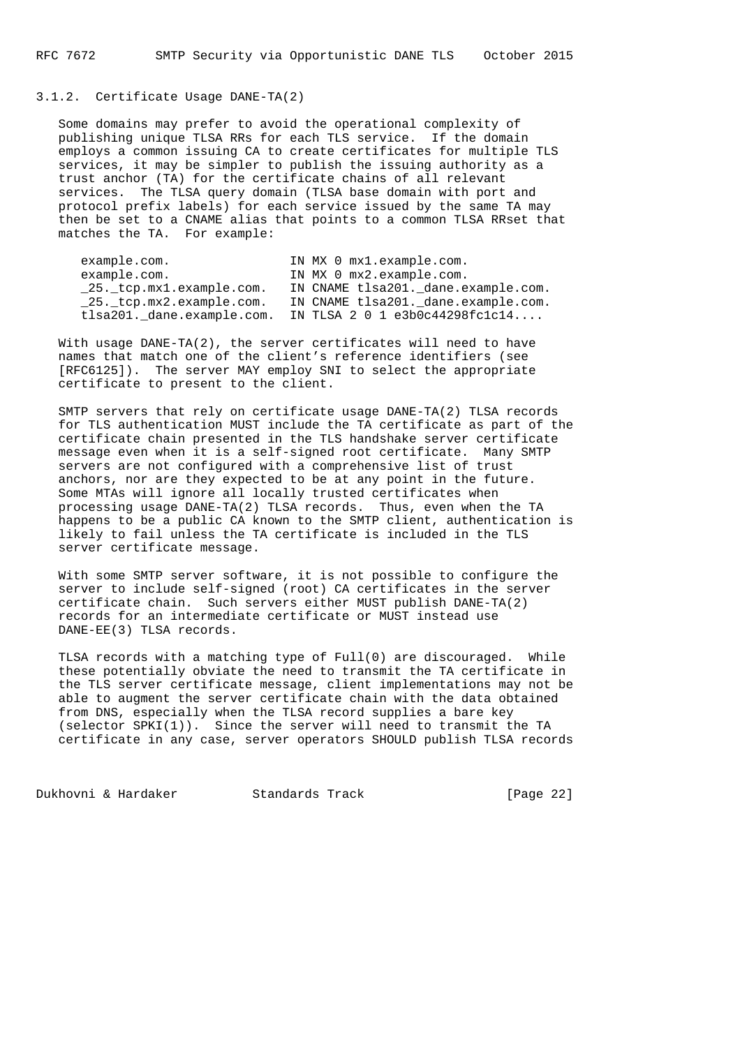## 3.1.2. Certificate Usage DANE-TA(2)

 Some domains may prefer to avoid the operational complexity of publishing unique TLSA RRs for each TLS service. If the domain employs a common issuing CA to create certificates for multiple TLS services, it may be simpler to publish the issuing authority as a trust anchor (TA) for the certificate chains of all relevant services. The TLSA query domain (TLSA base domain with port and protocol prefix labels) for each service issued by the same TA may then be set to a CNAME alias that points to a common TLSA RRset that matches the TA. For example:

| example.com.                              | IN MX 0 mx1.example.com.            |
|-------------------------------------------|-------------------------------------|
| example.com.                              | IN MX 0 mx2.example.com.            |
| 25. tcp.mx1.example.com.                  | IN CNAME tlsa201. dane.example.com. |
| $\_25$ . $_{\text{tcp.mx2.cxample.com.}}$ | IN CNAME tlsa201. dane.example.com. |
| tlsa201. dane.example.com.                | IN TLSA 2 0 1 $e3b0c44298fc1c14$    |

With usage DANE-TA $(2)$ , the server certificates will need to have names that match one of the client's reference identifiers (see [RFC6125]). The server MAY employ SNI to select the appropriate certificate to present to the client.

 SMTP servers that rely on certificate usage DANE-TA(2) TLSA records for TLS authentication MUST include the TA certificate as part of the certificate chain presented in the TLS handshake server certificate message even when it is a self-signed root certificate. Many SMTP servers are not configured with a comprehensive list of trust anchors, nor are they expected to be at any point in the future. Some MTAs will ignore all locally trusted certificates when processing usage DANE-TA(2) TLSA records. Thus, even when the TA happens to be a public CA known to the SMTP client, authentication is likely to fail unless the TA certificate is included in the TLS server certificate message.

 With some SMTP server software, it is not possible to configure the server to include self-signed (root) CA certificates in the server certificate chain. Such servers either MUST publish DANE-TA(2) records for an intermediate certificate or MUST instead use DANE-EE(3) TLSA records.

 TLSA records with a matching type of Full(0) are discouraged. While these potentially obviate the need to transmit the TA certificate in the TLS server certificate message, client implementations may not be able to augment the server certificate chain with the data obtained from DNS, especially when the TLSA record supplies a bare key (selector SPKI(1)). Since the server will need to transmit the TA certificate in any case, server operators SHOULD publish TLSA records

Dukhovni & Hardaker Standards Track [Page 22]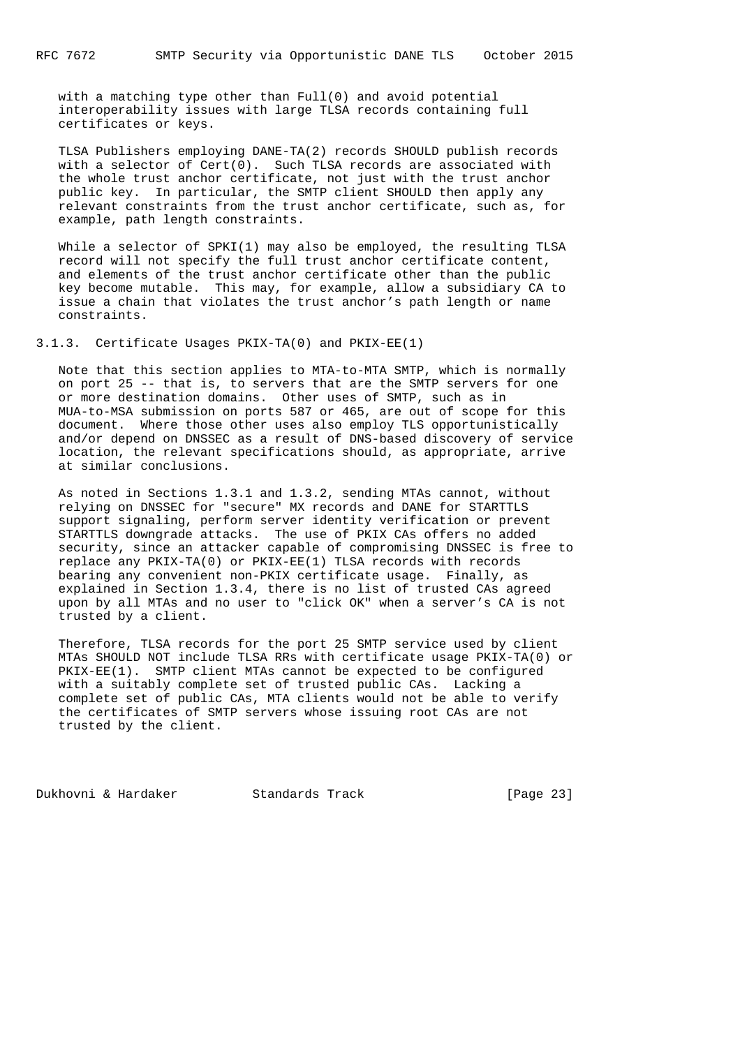with a matching type other than Full(0) and avoid potential interoperability issues with large TLSA records containing full certificates or keys.

 TLSA Publishers employing DANE-TA(2) records SHOULD publish records with a selector of Cert(0). Such TLSA records are associated with the whole trust anchor certificate, not just with the trust anchor public key. In particular, the SMTP client SHOULD then apply any relevant constraints from the trust anchor certificate, such as, for example, path length constraints.

While a selector of SPKI(1) may also be employed, the resulting TLSA record will not specify the full trust anchor certificate content, and elements of the trust anchor certificate other than the public key become mutable. This may, for example, allow a subsidiary CA to issue a chain that violates the trust anchor's path length or name constraints.

3.1.3. Certificate Usages PKIX-TA(0) and PKIX-EE(1)

 Note that this section applies to MTA-to-MTA SMTP, which is normally on port 25 -- that is, to servers that are the SMTP servers for one or more destination domains. Other uses of SMTP, such as in MUA-to-MSA submission on ports 587 or 465, are out of scope for this document. Where those other uses also employ TLS opportunistically and/or depend on DNSSEC as a result of DNS-based discovery of service location, the relevant specifications should, as appropriate, arrive at similar conclusions.

 As noted in Sections 1.3.1 and 1.3.2, sending MTAs cannot, without relying on DNSSEC for "secure" MX records and DANE for STARTTLS support signaling, perform server identity verification or prevent STARTTLS downgrade attacks. The use of PKIX CAs offers no added security, since an attacker capable of compromising DNSSEC is free to replace any PKIX-TA(0) or PKIX-EE(1) TLSA records with records bearing any convenient non-PKIX certificate usage. Finally, as explained in Section 1.3.4, there is no list of trusted CAs agreed upon by all MTAs and no user to "click OK" when a server's CA is not trusted by a client.

 Therefore, TLSA records for the port 25 SMTP service used by client MTAs SHOULD NOT include TLSA RRs with certificate usage PKIX-TA(0) or PKIX-EE(1). SMTP client MTAs cannot be expected to be configured with a suitably complete set of trusted public CAs. Lacking a complete set of public CAs, MTA clients would not be able to verify the certificates of SMTP servers whose issuing root CAs are not trusted by the client.

Dukhovni & Hardaker Standards Track [Page 23]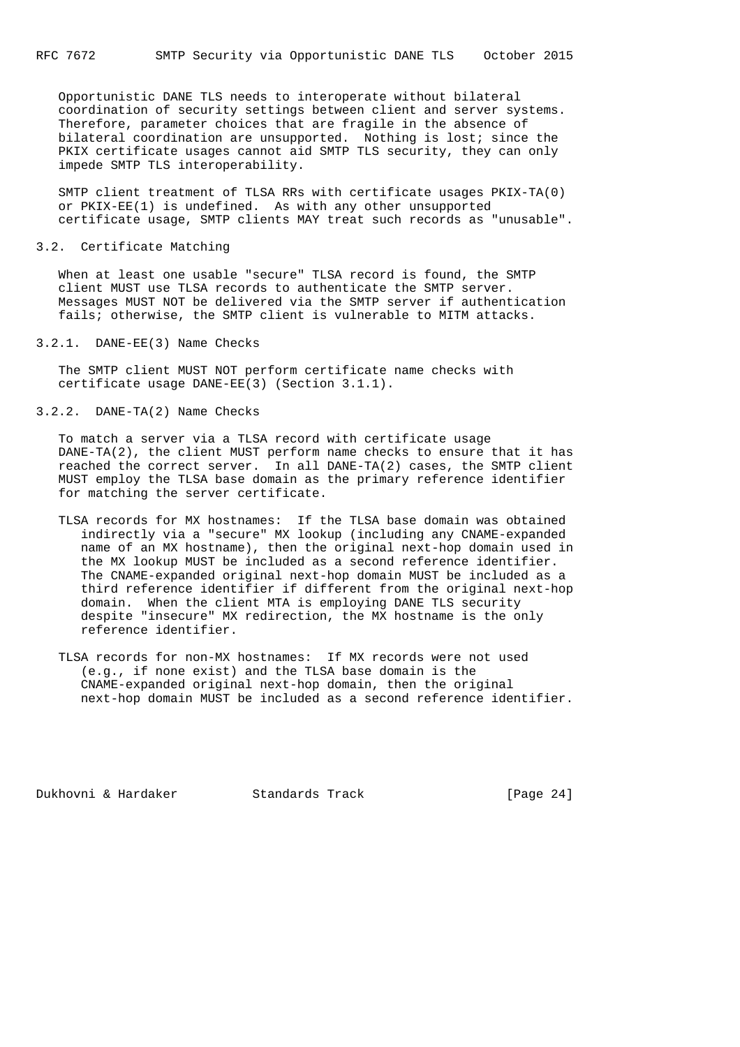Opportunistic DANE TLS needs to interoperate without bilateral coordination of security settings between client and server systems. Therefore, parameter choices that are fragile in the absence of bilateral coordination are unsupported. Nothing is lost; since the PKIX certificate usages cannot aid SMTP TLS security, they can only impede SMTP TLS interoperability.

 SMTP client treatment of TLSA RRs with certificate usages PKIX-TA(0) or PKIX-EE(1) is undefined. As with any other unsupported certificate usage, SMTP clients MAY treat such records as "unusable".

#### 3.2. Certificate Matching

 When at least one usable "secure" TLSA record is found, the SMTP client MUST use TLSA records to authenticate the SMTP server. Messages MUST NOT be delivered via the SMTP server if authentication fails; otherwise, the SMTP client is vulnerable to MITM attacks.

### 3.2.1. DANE-EE(3) Name Checks

 The SMTP client MUST NOT perform certificate name checks with certificate usage DANE-EE(3) (Section 3.1.1).

3.2.2. DANE-TA(2) Name Checks

 To match a server via a TLSA record with certificate usage DANE-TA(2), the client MUST perform name checks to ensure that it has reached the correct server. In all DANE-TA(2) cases, the SMTP client MUST employ the TLSA base domain as the primary reference identifier for matching the server certificate.

- TLSA records for MX hostnames: If the TLSA base domain was obtained indirectly via a "secure" MX lookup (including any CNAME-expanded name of an MX hostname), then the original next-hop domain used in the MX lookup MUST be included as a second reference identifier. The CNAME-expanded original next-hop domain MUST be included as a third reference identifier if different from the original next-hop domain. When the client MTA is employing DANE TLS security despite "insecure" MX redirection, the MX hostname is the only reference identifier.
- TLSA records for non-MX hostnames: If MX records were not used (e.g., if none exist) and the TLSA base domain is the CNAME-expanded original next-hop domain, then the original next-hop domain MUST be included as a second reference identifier.

Dukhovni & Hardaker Standards Track [Page 24]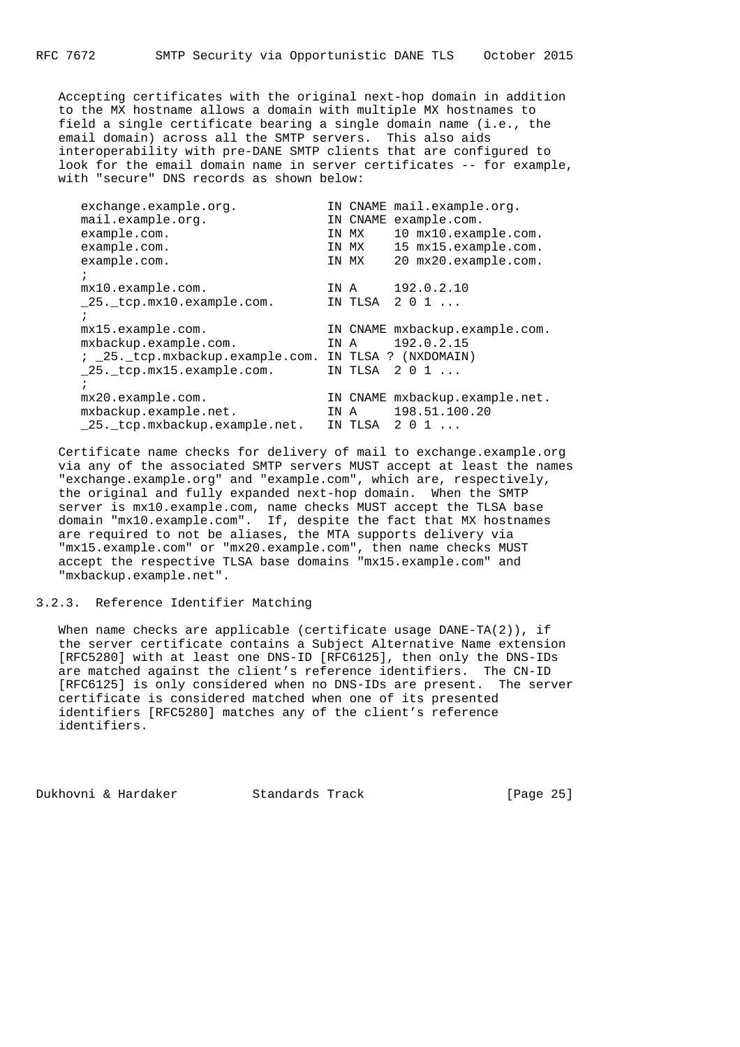Accepting certificates with the original next-hop domain in addition to the MX hostname allows a domain with multiple MX hostnames to field a single certificate bearing a single domain name (i.e., the email domain) across all the SMTP servers. This also aids interoperability with pre-DANE SMTP clients that are configured to look for the email domain name in server certificates -- for example, with "secure" DNS records as shown below:

| exchange.example.org.           |      |          | IN CNAME mail.example.org.     |
|---------------------------------|------|----------|--------------------------------|
| mail.example.org.               |      | IN CNAME | example.com.                   |
| example.com.                    |      | IN MX    | 10 mx10.example.com.           |
| example.com.                    |      | IN MX    | 15 mx15.example.com.           |
| example.com.                    |      | IN MX    | 20 mx20.example.com.           |
| $\ddot{i}$                      |      |          |                                |
| mx10 <u>.example.com</u> .      | IN A |          | 192.0.2.10                     |
| 25. tcp.mx10.example.com.       |      | IN TLSA  | 201                            |
| $\ddot{i}$                      |      |          |                                |
| mx15.example.com.               |      |          | IN CNAME mxbackup.example.com. |
| mxbackup.example.com.           | IN A |          | 192.0.2.15                     |
| ; 25. tcp.mxbackup.example.com. |      |          | IN TLSA ? (NXDOMAIN)           |
| 25. tcp.mx15.example.com.       |      | IN TLSA  | 201                            |
| $\ddot{i}$                      |      |          |                                |
| $mx20.\nexample.com.$           |      |          | IN CNAME mxbackup.example.net. |
| mxbackup.example.net.           | IN A |          | 198.51.100.20                  |
| _25. _tcp.mxbackup.example.net. |      | IN TLSA  | 201                            |

 Certificate name checks for delivery of mail to exchange.example.org via any of the associated SMTP servers MUST accept at least the names "exchange.example.org" and "example.com", which are, respectively, the original and fully expanded next-hop domain. When the SMTP server is  $mx10.example.com$ , name checks MUST accept the TLSA base domain "mx10.example.com". If, despite the fact that MX hostnames are required to not be aliases, the MTA supports delivery via "mx15.example.com" or "mx20.example.com", then name checks MUST accept the respective TLSA base domains "mx15.example.com" and "mxbackup.example.net".

## 3.2.3. Reference Identifier Matching

 When name checks are applicable (certificate usage DANE-TA(2)), if the server certificate contains a Subject Alternative Name extension [RFC5280] with at least one DNS-ID [RFC6125], then only the DNS-IDs are matched against the client's reference identifiers. The CN-ID [RFC6125] is only considered when no DNS-IDs are present. The server certificate is considered matched when one of its presented identifiers [RFC5280] matches any of the client's reference identifiers.

Dukhovni & Hardaker Standards Track [Page 25]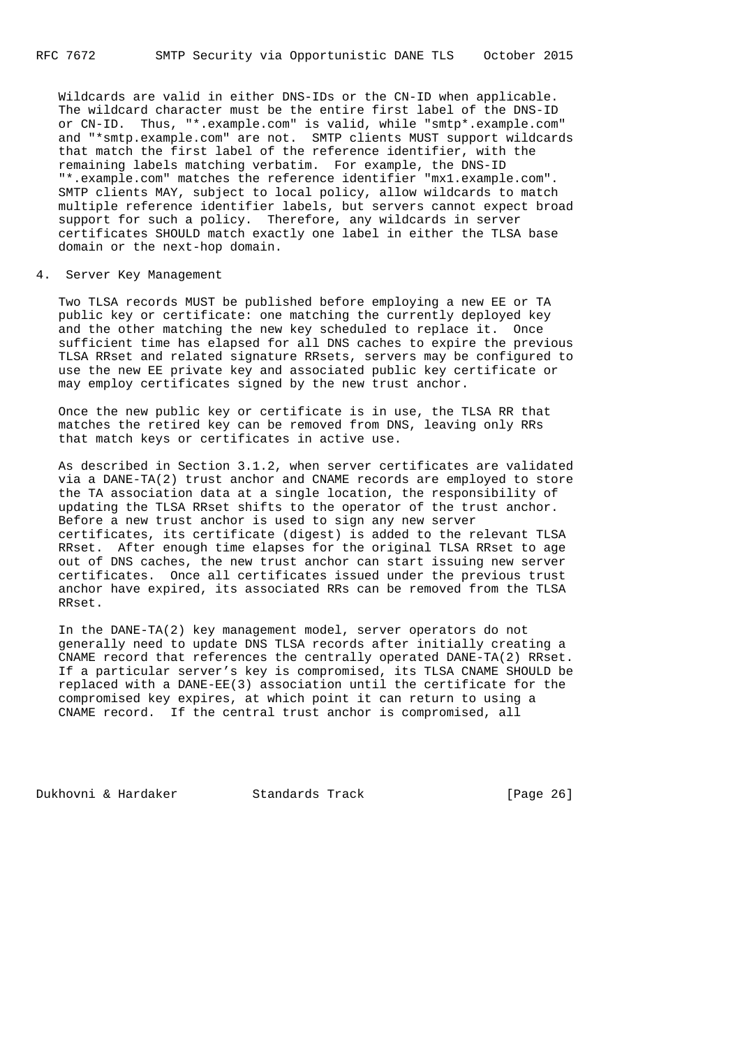Wildcards are valid in either DNS-IDs or the CN-ID when applicable. The wildcard character must be the entire first label of the DNS-ID or CN-ID. Thus, "\*.example.com" is valid, while "smtp\*.example.com" and "\*smtp.example.com" are not. SMTP clients MUST support wildcards that match the first label of the reference identifier, with the remaining labels matching verbatim. For example, the DNS-ID "\*.example.com" matches the reference identifier "mx1.example.com". SMTP clients MAY, subject to local policy, allow wildcards to match multiple reference identifier labels, but servers cannot expect broad support for such a policy. Therefore, any wildcards in server certificates SHOULD match exactly one label in either the TLSA base domain or the next-hop domain.

### 4. Server Key Management

 Two TLSA records MUST be published before employing a new EE or TA public key or certificate: one matching the currently deployed key and the other matching the new key scheduled to replace it. Once sufficient time has elapsed for all DNS caches to expire the previous TLSA RRset and related signature RRsets, servers may be configured to use the new EE private key and associated public key certificate or may employ certificates signed by the new trust anchor.

 Once the new public key or certificate is in use, the TLSA RR that matches the retired key can be removed from DNS, leaving only RRs that match keys or certificates in active use.

 As described in Section 3.1.2, when server certificates are validated via a DANE-TA(2) trust anchor and CNAME records are employed to store the TA association data at a single location, the responsibility of updating the TLSA RRset shifts to the operator of the trust anchor. Before a new trust anchor is used to sign any new server certificates, its certificate (digest) is added to the relevant TLSA RRset. After enough time elapses for the original TLSA RRset to age out of DNS caches, the new trust anchor can start issuing new server certificates. Once all certificates issued under the previous trust anchor have expired, its associated RRs can be removed from the TLSA RRset.

 In the DANE-TA(2) key management model, server operators do not generally need to update DNS TLSA records after initially creating a CNAME record that references the centrally operated DANE-TA(2) RRset. If a particular server's key is compromised, its TLSA CNAME SHOULD be replaced with a DANE-EE(3) association until the certificate for the compromised key expires, at which point it can return to using a CNAME record. If the central trust anchor is compromised, all

Dukhovni & Hardaker Standards Track [Page 26]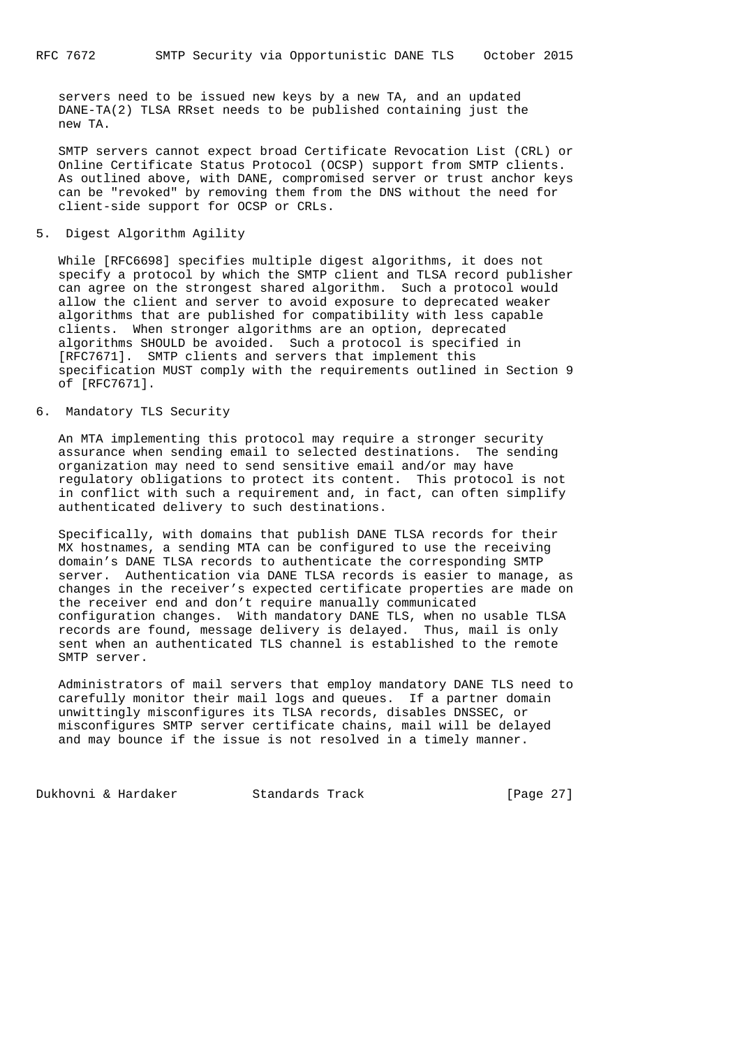servers need to be issued new keys by a new TA, and an updated DANE-TA(2) TLSA RRset needs to be published containing just the new TA.

 SMTP servers cannot expect broad Certificate Revocation List (CRL) or Online Certificate Status Protocol (OCSP) support from SMTP clients. As outlined above, with DANE, compromised server or trust anchor keys can be "revoked" by removing them from the DNS without the need for client-side support for OCSP or CRLs.

5. Digest Algorithm Agility

 While [RFC6698] specifies multiple digest algorithms, it does not specify a protocol by which the SMTP client and TLSA record publisher can agree on the strongest shared algorithm. Such a protocol would allow the client and server to avoid exposure to deprecated weaker algorithms that are published for compatibility with less capable clients. When stronger algorithms are an option, deprecated algorithms SHOULD be avoided. Such a protocol is specified in [RFC7671]. SMTP clients and servers that implement this specification MUST comply with the requirements outlined in Section 9 of [RFC7671].

# 6. Mandatory TLS Security

 An MTA implementing this protocol may require a stronger security assurance when sending email to selected destinations. The sending organization may need to send sensitive email and/or may have regulatory obligations to protect its content. This protocol is not in conflict with such a requirement and, in fact, can often simplify authenticated delivery to such destinations.

 Specifically, with domains that publish DANE TLSA records for their MX hostnames, a sending MTA can be configured to use the receiving domain's DANE TLSA records to authenticate the corresponding SMTP server. Authentication via DANE TLSA records is easier to manage, as changes in the receiver's expected certificate properties are made on the receiver end and don't require manually communicated configuration changes. With mandatory DANE TLS, when no usable TLSA records are found, message delivery is delayed. Thus, mail is only sent when an authenticated TLS channel is established to the remote SMTP server.

 Administrators of mail servers that employ mandatory DANE TLS need to carefully monitor their mail logs and queues. If a partner domain unwittingly misconfigures its TLSA records, disables DNSSEC, or misconfigures SMTP server certificate chains, mail will be delayed and may bounce if the issue is not resolved in a timely manner.

Dukhovni & Hardaker Standards Track [Page 27]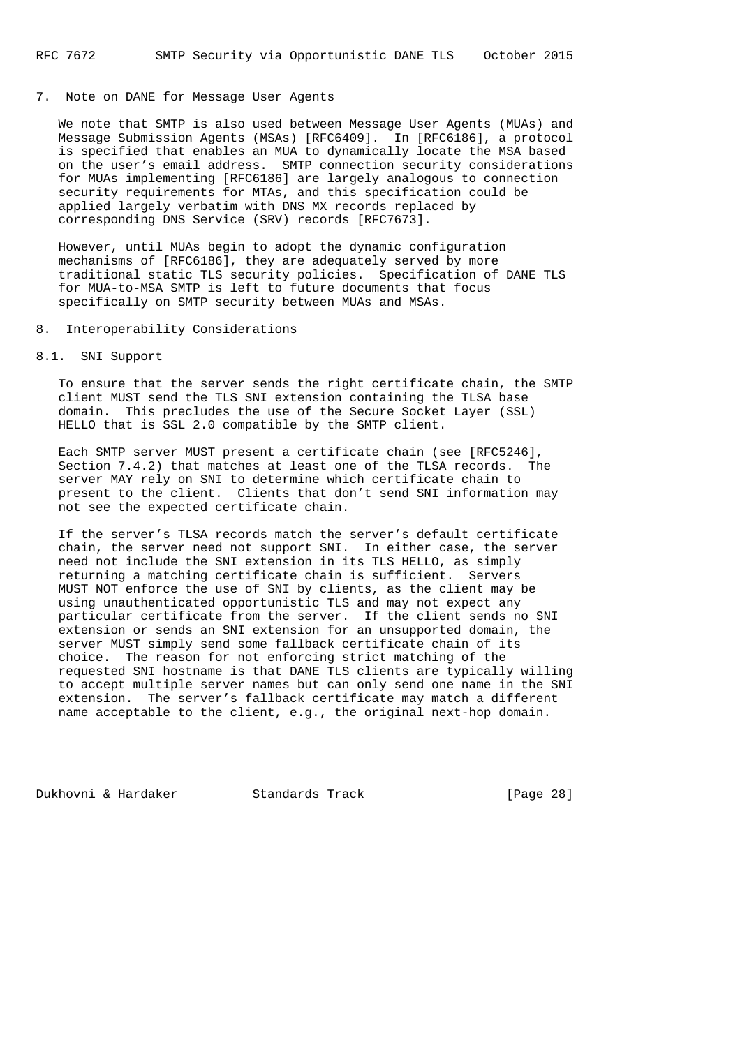#### 7. Note on DANE for Message User Agents

 We note that SMTP is also used between Message User Agents (MUAs) and Message Submission Agents (MSAs) [RFC6409]. In [RFC6186], a protocol is specified that enables an MUA to dynamically locate the MSA based on the user's email address. SMTP connection security considerations for MUAs implementing [RFC6186] are largely analogous to connection security requirements for MTAs, and this specification could be applied largely verbatim with DNS MX records replaced by corresponding DNS Service (SRV) records [RFC7673].

 However, until MUAs begin to adopt the dynamic configuration mechanisms of [RFC6186], they are adequately served by more traditional static TLS security policies. Specification of DANE TLS for MUA-to-MSA SMTP is left to future documents that focus specifically on SMTP security between MUAs and MSAs.

## 8. Interoperability Considerations

#### 8.1. SNI Support

 To ensure that the server sends the right certificate chain, the SMTP client MUST send the TLS SNI extension containing the TLSA base domain. This precludes the use of the Secure Socket Layer (SSL) HELLO that is SSL 2.0 compatible by the SMTP client.

 Each SMTP server MUST present a certificate chain (see [RFC5246], Section 7.4.2) that matches at least one of the TLSA records. The server MAY rely on SNI to determine which certificate chain to present to the client. Clients that don't send SNI information may not see the expected certificate chain.

 If the server's TLSA records match the server's default certificate chain, the server need not support SNI. In either case, the server need not include the SNI extension in its TLS HELLO, as simply returning a matching certificate chain is sufficient. Servers MUST NOT enforce the use of SNI by clients, as the client may be using unauthenticated opportunistic TLS and may not expect any particular certificate from the server. If the client sends no SNI extension or sends an SNI extension for an unsupported domain, the server MUST simply send some fallback certificate chain of its choice. The reason for not enforcing strict matching of the requested SNI hostname is that DANE TLS clients are typically willing to accept multiple server names but can only send one name in the SNI extension. The server's fallback certificate may match a different name acceptable to the client, e.g., the original next-hop domain.

Dukhovni & Hardaker Standards Track [Page 28]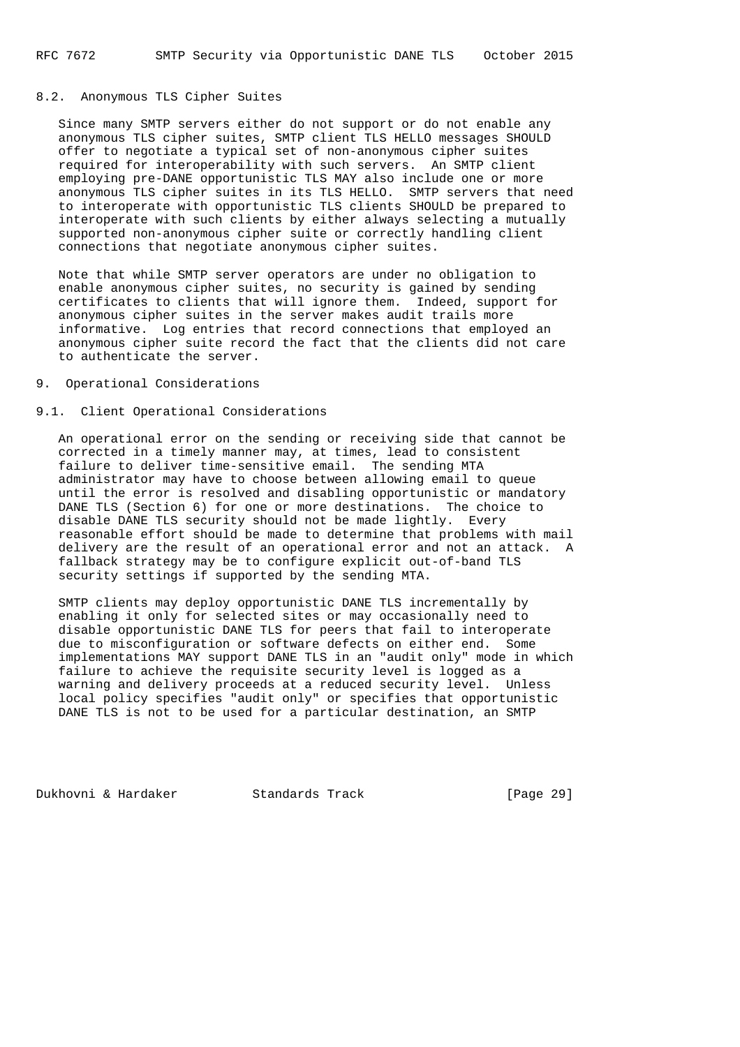## 8.2. Anonymous TLS Cipher Suites

 Since many SMTP servers either do not support or do not enable any anonymous TLS cipher suites, SMTP client TLS HELLO messages SHOULD offer to negotiate a typical set of non-anonymous cipher suites required for interoperability with such servers. An SMTP client employing pre-DANE opportunistic TLS MAY also include one or more anonymous TLS cipher suites in its TLS HELLO. SMTP servers that need to interoperate with opportunistic TLS clients SHOULD be prepared to interoperate with such clients by either always selecting a mutually supported non-anonymous cipher suite or correctly handling client connections that negotiate anonymous cipher suites.

 Note that while SMTP server operators are under no obligation to enable anonymous cipher suites, no security is gained by sending certificates to clients that will ignore them. Indeed, support for anonymous cipher suites in the server makes audit trails more informative. Log entries that record connections that employed an anonymous cipher suite record the fact that the clients did not care to authenticate the server.

### 9. Operational Considerations

# 9.1. Client Operational Considerations

 An operational error on the sending or receiving side that cannot be corrected in a timely manner may, at times, lead to consistent failure to deliver time-sensitive email. The sending MTA administrator may have to choose between allowing email to queue until the error is resolved and disabling opportunistic or mandatory DANE TLS (Section 6) for one or more destinations. The choice to disable DANE TLS security should not be made lightly. Every reasonable effort should be made to determine that problems with mail delivery are the result of an operational error and not an attack. A fallback strategy may be to configure explicit out-of-band TLS security settings if supported by the sending MTA.

 SMTP clients may deploy opportunistic DANE TLS incrementally by enabling it only for selected sites or may occasionally need to disable opportunistic DANE TLS for peers that fail to interoperate due to misconfiguration or software defects on either end. Some implementations MAY support DANE TLS in an "audit only" mode in which failure to achieve the requisite security level is logged as a warning and delivery proceeds at a reduced security level. Unless local policy specifies "audit only" or specifies that opportunistic DANE TLS is not to be used for a particular destination, an SMTP

Dukhovni & Hardaker Standards Track [Page 29]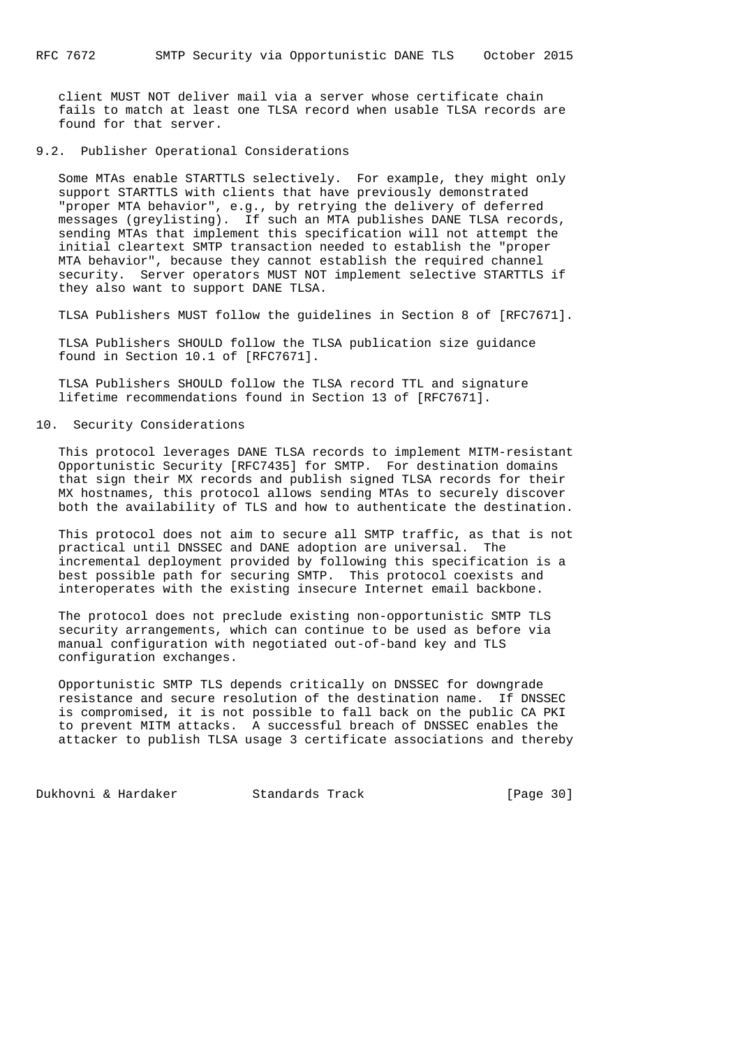client MUST NOT deliver mail via a server whose certificate chain fails to match at least one TLSA record when usable TLSA records are found for that server.

#### 9.2. Publisher Operational Considerations

 Some MTAs enable STARTTLS selectively. For example, they might only support STARTTLS with clients that have previously demonstrated "proper MTA behavior", e.g., by retrying the delivery of deferred messages (greylisting). If such an MTA publishes DANE TLSA records, sending MTAs that implement this specification will not attempt the initial cleartext SMTP transaction needed to establish the "proper MTA behavior", because they cannot establish the required channel security. Server operators MUST NOT implement selective STARTTLS if they also want to support DANE TLSA.

TLSA Publishers MUST follow the guidelines in Section 8 of [RFC7671].

 TLSA Publishers SHOULD follow the TLSA publication size guidance found in Section 10.1 of [RFC7671].

 TLSA Publishers SHOULD follow the TLSA record TTL and signature lifetime recommendations found in Section 13 of [RFC7671].

#### 10. Security Considerations

 This protocol leverages DANE TLSA records to implement MITM-resistant Opportunistic Security [RFC7435] for SMTP. For destination domains that sign their MX records and publish signed TLSA records for their MX hostnames, this protocol allows sending MTAs to securely discover both the availability of TLS and how to authenticate the destination.

 This protocol does not aim to secure all SMTP traffic, as that is not practical until DNSSEC and DANE adoption are universal. The incremental deployment provided by following this specification is a best possible path for securing SMTP. This protocol coexists and interoperates with the existing insecure Internet email backbone.

 The protocol does not preclude existing non-opportunistic SMTP TLS security arrangements, which can continue to be used as before via manual configuration with negotiated out-of-band key and TLS configuration exchanges.

 Opportunistic SMTP TLS depends critically on DNSSEC for downgrade resistance and secure resolution of the destination name. If DNSSEC is compromised, it is not possible to fall back on the public CA PKI to prevent MITM attacks. A successful breach of DNSSEC enables the attacker to publish TLSA usage 3 certificate associations and thereby

Dukhovni & Hardaker Standards Track [Page 30]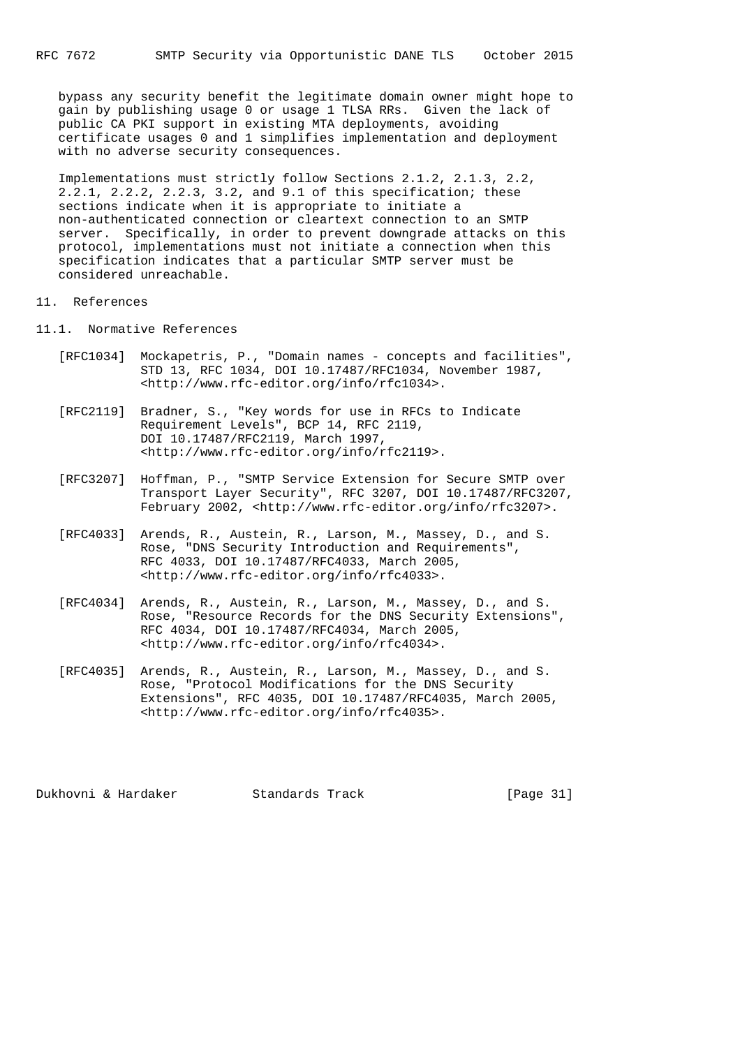bypass any security benefit the legitimate domain owner might hope to gain by publishing usage 0 or usage 1 TLSA RRs. Given the lack of public CA PKI support in existing MTA deployments, avoiding certificate usages 0 and 1 simplifies implementation and deployment with no adverse security consequences.

 Implementations must strictly follow Sections 2.1.2, 2.1.3, 2.2, 2.2.1, 2.2.2, 2.2.3, 3.2, and 9.1 of this specification; these sections indicate when it is appropriate to initiate a non-authenticated connection or cleartext connection to an SMTP server. Specifically, in order to prevent downgrade attacks on this protocol, implementations must not initiate a connection when this specification indicates that a particular SMTP server must be considered unreachable.

#### 11. References

- 11.1. Normative References
- [RFC1034] Mockapetris, P., "Domain names concepts and facilities", STD 13, RFC 1034, DOI 10.17487/RFC1034, November 1987, <http://www.rfc-editor.org/info/rfc1034>.
	- [RFC2119] Bradner, S., "Key words for use in RFCs to Indicate Requirement Levels", BCP 14, RFC 2119, DOI 10.17487/RFC2119, March 1997, <http://www.rfc-editor.org/info/rfc2119>.
	- [RFC3207] Hoffman, P., "SMTP Service Extension for Secure SMTP over Transport Layer Security", RFC 3207, DOI 10.17487/RFC3207, February 2002, <http://www.rfc-editor.org/info/rfc3207>.
	- [RFC4033] Arends, R., Austein, R., Larson, M., Massey, D., and S. Rose, "DNS Security Introduction and Requirements", RFC 4033, DOI 10.17487/RFC4033, March 2005, <http://www.rfc-editor.org/info/rfc4033>.
	- [RFC4034] Arends, R., Austein, R., Larson, M., Massey, D., and S. Rose, "Resource Records for the DNS Security Extensions", RFC 4034, DOI 10.17487/RFC4034, March 2005, <http://www.rfc-editor.org/info/rfc4034>.
	- [RFC4035] Arends, R., Austein, R., Larson, M., Massey, D., and S. Rose, "Protocol Modifications for the DNS Security Extensions", RFC 4035, DOI 10.17487/RFC4035, March 2005, <http://www.rfc-editor.org/info/rfc4035>.

Dukhovni & Hardaker Standards Track [Page 31]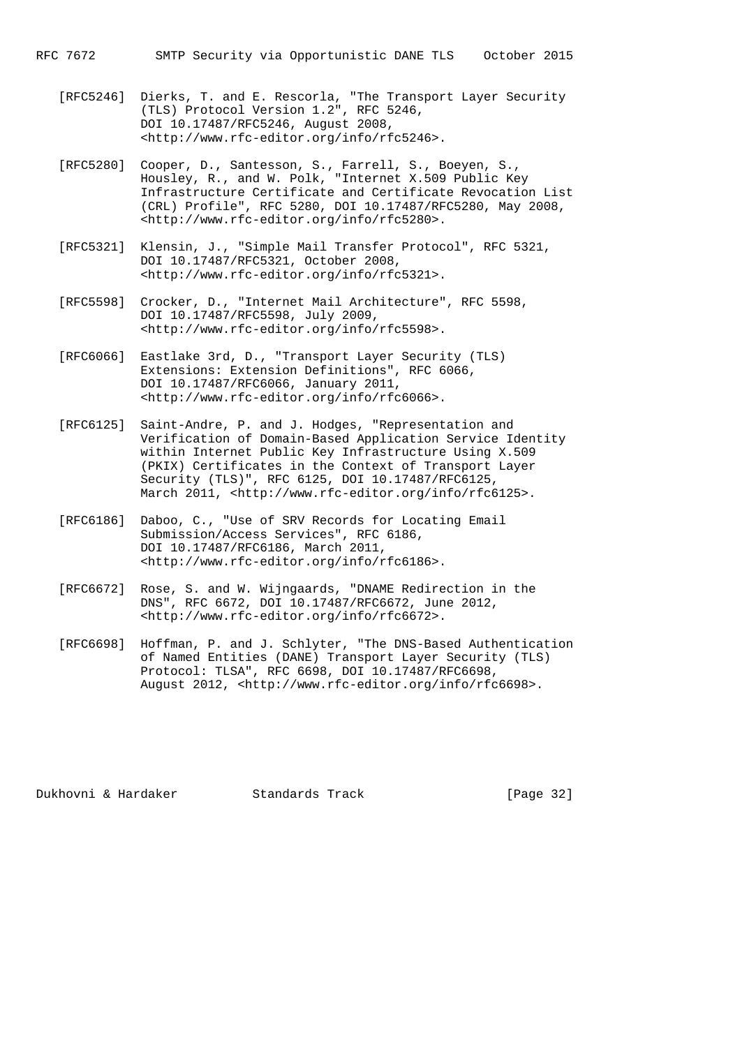- [RFC5246] Dierks, T. and E. Rescorla, "The Transport Layer Security (TLS) Protocol Version 1.2", RFC 5246, DOI 10.17487/RFC5246, August 2008, <http://www.rfc-editor.org/info/rfc5246>.
	- [RFC5280] Cooper, D., Santesson, S., Farrell, S., Boeyen, S., Housley, R., and W. Polk, "Internet X.509 Public Key Infrastructure Certificate and Certificate Revocation List (CRL) Profile", RFC 5280, DOI 10.17487/RFC5280, May 2008, <http://www.rfc-editor.org/info/rfc5280>.
	- [RFC5321] Klensin, J., "Simple Mail Transfer Protocol", RFC 5321, DOI 10.17487/RFC5321, October 2008, <http://www.rfc-editor.org/info/rfc5321>.
	- [RFC5598] Crocker, D., "Internet Mail Architecture", RFC 5598, DOI 10.17487/RFC5598, July 2009, <http://www.rfc-editor.org/info/rfc5598>.
	- [RFC6066] Eastlake 3rd, D., "Transport Layer Security (TLS) Extensions: Extension Definitions", RFC 6066, DOI 10.17487/RFC6066, January 2011, <http://www.rfc-editor.org/info/rfc6066>.
	- [RFC6125] Saint-Andre, P. and J. Hodges, "Representation and Verification of Domain-Based Application Service Identity within Internet Public Key Infrastructure Using X.509 (PKIX) Certificates in the Context of Transport Layer Security (TLS)", RFC 6125, DOI 10.17487/RFC6125, March 2011, <http://www.rfc-editor.org/info/rfc6125>.
	- [RFC6186] Daboo, C., "Use of SRV Records for Locating Email Submission/Access Services", RFC 6186, DOI 10.17487/RFC6186, March 2011, <http://www.rfc-editor.org/info/rfc6186>.
	- [RFC6672] Rose, S. and W. Wijngaards, "DNAME Redirection in the DNS", RFC 6672, DOI 10.17487/RFC6672, June 2012, <http://www.rfc-editor.org/info/rfc6672>.
	- [RFC6698] Hoffman, P. and J. Schlyter, "The DNS-Based Authentication of Named Entities (DANE) Transport Layer Security (TLS) Protocol: TLSA", RFC 6698, DOI 10.17487/RFC6698, August 2012, <http://www.rfc-editor.org/info/rfc6698>.

Dukhovni & Hardaker Standards Track [Page 32]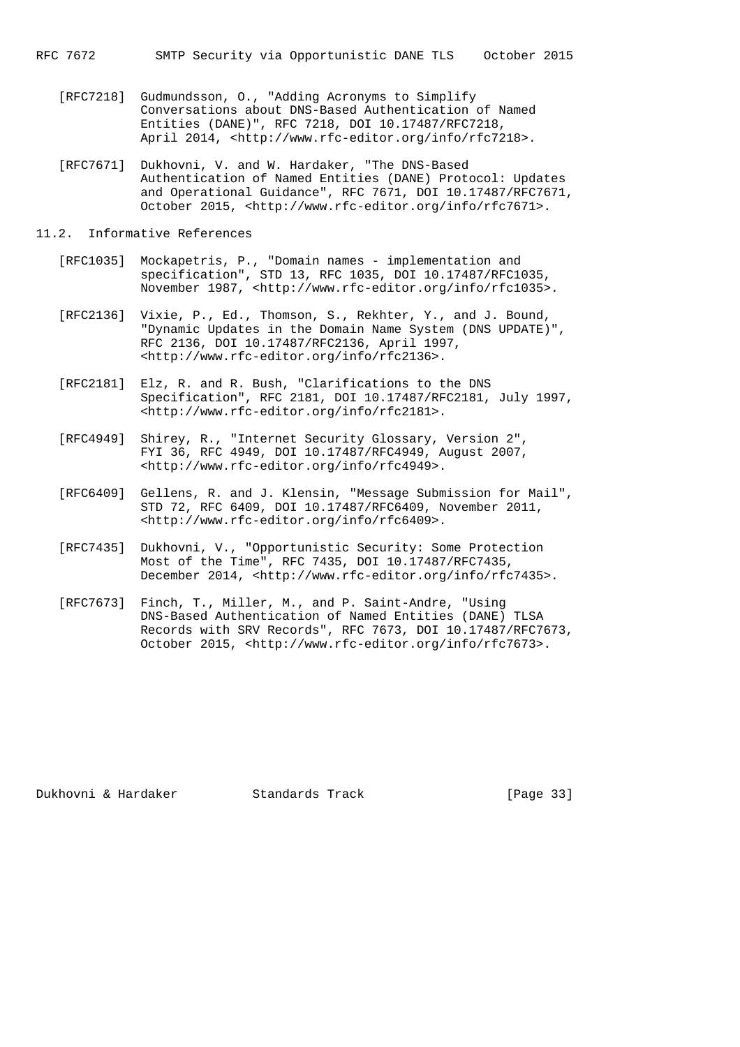- [RFC7218] Gudmundsson, O., "Adding Acronyms to Simplify Conversations about DNS-Based Authentication of Named Entities (DANE)", RFC 7218, DOI 10.17487/RFC7218, April 2014, <http://www.rfc-editor.org/info/rfc7218>.
- [RFC7671] Dukhovni, V. and W. Hardaker, "The DNS-Based Authentication of Named Entities (DANE) Protocol: Updates and Operational Guidance", RFC 7671, DOI 10.17487/RFC7671, October 2015, <http://www.rfc-editor.org/info/rfc7671>.

### 11.2. Informative References

- [RFC1035] Mockapetris, P., "Domain names implementation and specification", STD 13, RFC 1035, DOI 10.17487/RFC1035, November 1987, <http://www.rfc-editor.org/info/rfc1035>.
	- [RFC2136] Vixie, P., Ed., Thomson, S., Rekhter, Y., and J. Bound, "Dynamic Updates in the Domain Name System (DNS UPDATE)", RFC 2136, DOI 10.17487/RFC2136, April 1997, <http://www.rfc-editor.org/info/rfc2136>.
	- [RFC2181] Elz, R. and R. Bush, "Clarifications to the DNS Specification", RFC 2181, DOI 10.17487/RFC2181, July 1997, <http://www.rfc-editor.org/info/rfc2181>.
	- [RFC4949] Shirey, R., "Internet Security Glossary, Version 2", FYI 36, RFC 4949, DOI 10.17487/RFC4949, August 2007, <http://www.rfc-editor.org/info/rfc4949>.
	- [RFC6409] Gellens, R. and J. Klensin, "Message Submission for Mail", STD 72, RFC 6409, DOI 10.17487/RFC6409, November 2011, <http://www.rfc-editor.org/info/rfc6409>.
	- [RFC7435] Dukhovni, V., "Opportunistic Security: Some Protection Most of the Time", RFC 7435, DOI 10.17487/RFC7435, December 2014, <http://www.rfc-editor.org/info/rfc7435>.
	- [RFC7673] Finch, T., Miller, M., and P. Saint-Andre, "Using DNS-Based Authentication of Named Entities (DANE) TLSA Records with SRV Records", RFC 7673, DOI 10.17487/RFC7673, October 2015, <http://www.rfc-editor.org/info/rfc7673>.

Dukhovni & Hardaker Standards Track [Page 33]